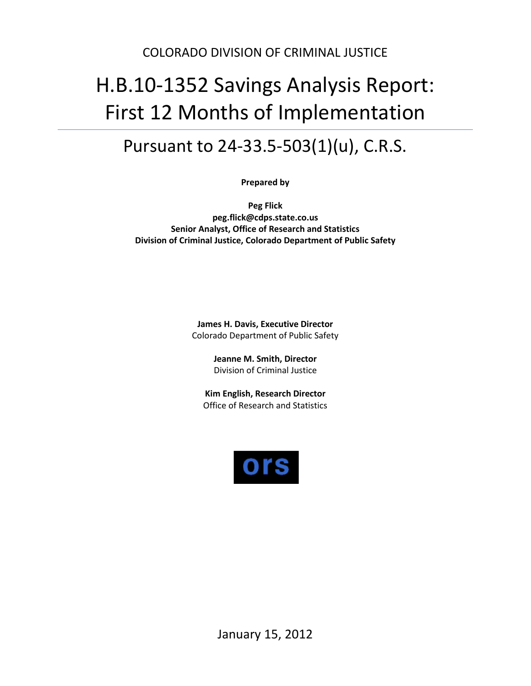## COLORADO DIVISION OF CRIMINAL JUSTICE

# H.B.10-1352 Savings Analysis Report: First 12 Months of Implementation

## Pursuant to 24-33.5-503(1)(u), C.R.S.

**Prepared by**

**Peg Flick peg.flick@cdps.state.co.us Senior Analyst, Office of Research and Statistics Division of Criminal Justice, Colorado Department of Public Safety**

> **James H. Davis, Executive Director** Colorado Department of Public Safety

> > **Jeanne M. Smith, Director** Division of Criminal Justice

**Kim English, Research Director** Office of Research and Statistics

<span id="page-0-0"></span>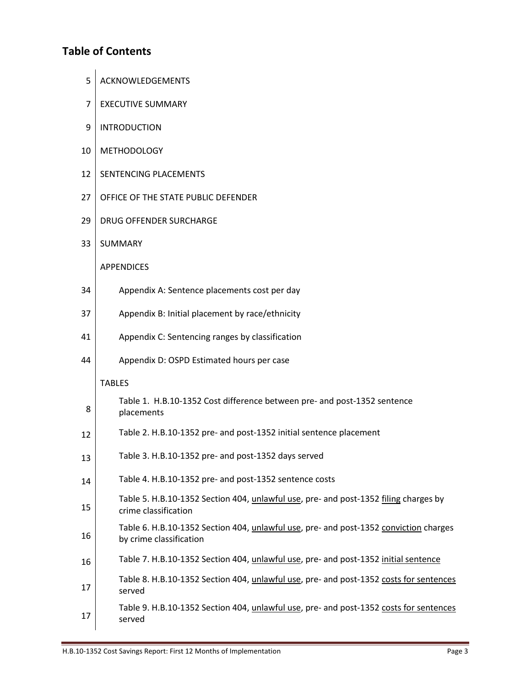## **Table of Contents**

- 5 | ACKNOWLEDGEMENTS
- 7 | EXECUTIVE SUMMARY
- 9 | INTRODUCTION
- 10 METHODOLOGY
- 12 | SENTENCING PLACEMENTS
- 27 OFFICE OF THE STATE PUBLIC DEFENDER
- 29 DRUG OFFENDER SURCHARGE
- 33 SUMMARY

#### APPENDICES

| 34 | Appendix A: Sentence placements cost per day |
|----|----------------------------------------------|
|----|----------------------------------------------|

- 37 | Appendix B: Initial placement by race/ethnicity
- 41 Appendix C: Sentencing ranges by classification
- 44 | Appendix D: OSPD Estimated hours per case

#### TABLES

| 8  | Table 1. H.B.10-1352 Cost difference between pre- and post-1352 sentence<br>placements                                   |
|----|--------------------------------------------------------------------------------------------------------------------------|
| 12 | Table 2. H.B.10-1352 pre- and post-1352 initial sentence placement                                                       |
| 13 | Table 3. H.B.10-1352 pre- and post-1352 days served                                                                      |
| 14 | Table 4. H.B.10-1352 pre- and post-1352 sentence costs                                                                   |
| 15 | Table 5. H.B.10-1352 Section 404, unlawful use, pre- and post-1352 filing charges by<br>crime classification             |
| 16 | Table 6. H.B.10-1352 Section 404, <i>unlawful use</i> , pre- and post-1352 conviction charges<br>by crime classification |
| 16 | Table 7. H.B.10-1352 Section 404, unlawful use, pre- and post-1352 initial sentence                                      |
| 17 | Table 8. H.B.10-1352 Section 404, unlawful use, pre- and post-1352 costs for sentences<br>served                         |
| 17 | Table 9. H.B.10-1352 Section 404, unlawful use, pre- and post-1352 costs for sentences<br>served                         |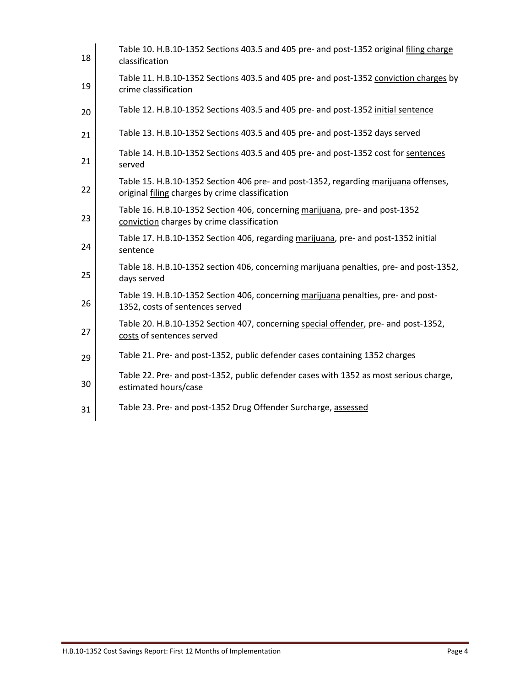| 18 | Table 10. H.B.10-1352 Sections 403.5 and 405 pre- and post-1352 original filing charge<br>classification                               |
|----|----------------------------------------------------------------------------------------------------------------------------------------|
| 19 | Table 11. H.B.10-1352 Sections 403.5 and 405 pre- and post-1352 conviction charges by<br>crime classification                          |
| 20 | Table 12. H.B.10-1352 Sections 403.5 and 405 pre- and post-1352 initial sentence                                                       |
| 21 | Table 13. H.B.10-1352 Sections 403.5 and 405 pre- and post-1352 days served                                                            |
| 21 | Table 14. H.B.10-1352 Sections 403.5 and 405 pre- and post-1352 cost for sentences<br>served                                           |
| 22 | Table 15. H.B.10-1352 Section 406 pre- and post-1352, regarding marijuana offenses,<br>original filing charges by crime classification |
| 23 | Table 16. H.B.10-1352 Section 406, concerning marijuana, pre- and post-1352<br>conviction charges by crime classification              |
| 24 | Table 17. H.B.10-1352 Section 406, regarding marijuana, pre- and post-1352 initial<br>sentence                                         |
| 25 | Table 18. H.B.10-1352 section 406, concerning marijuana penalties, pre- and post-1352,<br>days served                                  |
| 26 | Table 19. H.B.10-1352 Section 406, concerning marijuana penalties, pre- and post-<br>1352, costs of sentences served                   |
| 27 | Table 20. H.B.10-1352 Section 407, concerning special offender, pre- and post-1352,<br>costs of sentences served                       |
| 29 | Table 21. Pre- and post-1352, public defender cases containing 1352 charges                                                            |
| 30 | Table 22. Pre- and post-1352, public defender cases with 1352 as most serious charge,<br>estimated hours/case                          |
| 31 | Table 23. Pre- and post-1352 Drug Offender Surcharge, assessed                                                                         |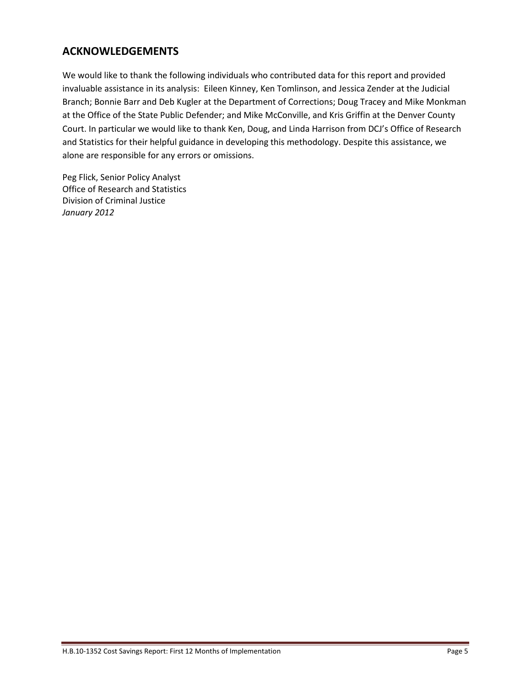## **ACKNOWLEDGEMENTS**

We would like to thank the following individuals who contributed data for this report and provided invaluable assistance in its analysis: Eileen Kinney, Ken Tomlinson, and Jessica Zender at the Judicial Branch; Bonnie Barr and Deb Kugler at the Department of Corrections; Doug Tracey and Mike Monkman at the Office of the State Public Defender; and Mike McConville, and Kris Griffin at the Denver County Court. In particular we would like to thank Ken, Doug, and Linda Harrison from DCJ's Office of Research and Statistics for their helpful guidance in developing this methodology. Despite this assistance, we alone are responsible for any errors or omissions.

Peg Flick, Senior Policy Analyst Office of Research and Statistics Division of Criminal Justice *January 2012*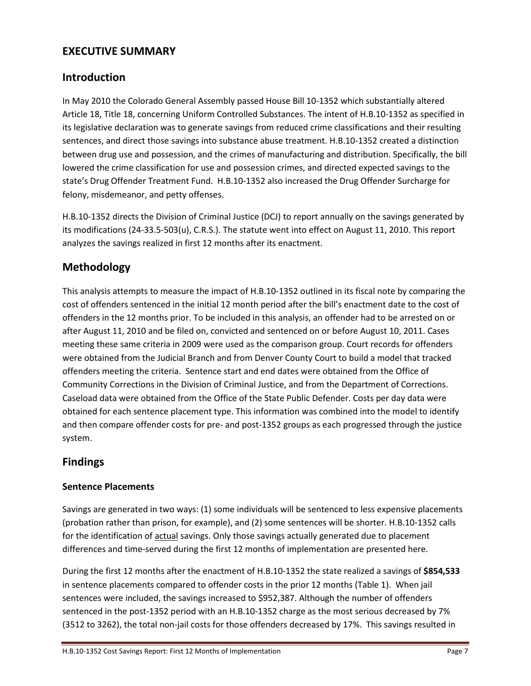## **EXECUTIVE SUMMARY**

## **Introduction**

In May 2010 the Colorado General Assembly passed House Bill 10-1352 which substantially altered Article 18, Title 18, concerning Uniform Controlled Substances. The intent of H.B.10-1352 as specified in its legislative declaration was to generate savings from reduced crime classifications and their resulting sentences, and direct those savings into substance abuse treatment. H.B.10-1352 created a distinction between drug use and possession, and the crimes of manufacturing and distribution. Specifically, the bill lowered the crime classification for use and possession crimes, and directed expected savings to the state's Drug Offender Treatment Fund. H.B.10-1352 also increased the Drug Offender Surcharge for felony, misdemeanor, and petty offenses.

H.B.10-1352 directs the Division of Criminal Justice (DCJ) to report annually on the savings generated by its modifications (24-33.5-503(u), C.R.S.). The statute went into effect on August 11, 2010. This report analyzes the savings realized in first 12 months after its enactment.

## **Methodology**

This analysis attempts to measure the impact of H.B.10-1352 outlined in its fiscal note by comparing the cost of offenders sentenced in the initial 12 month period after the bill's enactment date to the cost of offenders in the 12 months prior. To be included in this analysis, an offender had to be arrested on or after August 11, 2010 and be filed on, convicted and sentenced on or before August 10, 2011. Cases meeting these same criteria in 2009 were used as the comparison group. Court records for offenders were obtained from the Judicial Branch and from Denver County Court to build a model that tracked offenders meeting the criteria. Sentence start and end dates were obtained from the Office of Community Corrections in the Division of Criminal Justice, and from the Department of Corrections. Caseload data were obtained from the Office of the State Public Defender. Costs per day data were obtained for each sentence placement type. This information was combined into the model to identify and then compare offender costs for pre- and post-1352 groups as each progressed through the justice system.

## **Findings**

#### **Sentence Placements**

Savings are generated in two ways: (1) some individuals will be sentenced to less expensive placements (probation rather than prison, for example), and (2) some sentences will be shorter. H.B.10-1352 calls for the identification of actual savings. Only those savings actually generated due to placement differences and time-served during the first 12 months of implementation are presented here.

During the first 12 months after the enactment of H.B.10-1352 the state realized a savings of **\$854,533** in sentence placements compared to offender costs in the prior 12 months (Table 1). When jail sentences were included, the savings increased to \$952,387. Although the number of offenders sentenced in the post-1352 period with an H.B.10-1352 charge as the most serious decreased by 7% (3512 to 3262), the total non-jail costs for those offenders decreased by 17%. This savings resulted in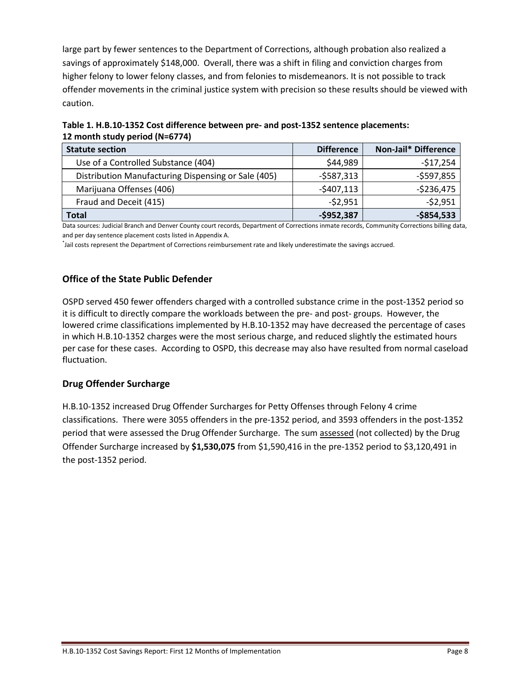large part by fewer sentences to the Department of Corrections, although probation also realized a savings of approximately \$148,000. Overall, there was a shift in filing and conviction charges from higher felony to lower felony classes, and from felonies to misdemeanors. It is not possible to track offender movements in the criminal justice system with precision so these results should be viewed with caution.

| Table 1. H.B.10-1352 Cost difference between pre- and post-1352 sentence placements: |
|--------------------------------------------------------------------------------------|
| 12 month study period (N=6774)                                                       |

| <b>Statute section</b>                              | <b>Difference</b> | Non-Jail* Difference |
|-----------------------------------------------------|-------------------|----------------------|
| Use of a Controlled Substance (404)                 | \$44,989          | $-517,254$           |
| Distribution Manufacturing Dispensing or Sale (405) | $-$ \$587,313     | $-$597,855$          |
| Marijuana Offenses (406)                            | $-5407,113$       | $-$236,475$          |
| Fraud and Deceit (415)                              | $-52,951$         | $-52,951$            |
| <b>Total</b>                                        | $-$952,387$       | $-$854,533$          |

Data sources: Judicial Branch and Denver County court records, Department of Corrections inmate records, Community Corrections billing data, and per day sentence placement costs listed in Appendix A.

\* Jail costs represent the Department of Corrections reimbursement rate and likely underestimate the savings accrued.

#### **Office of the State Public Defender**

OSPD served 450 fewer offenders charged with a controlled substance crime in the post-1352 period so it is difficult to directly compare the workloads between the pre- and post- groups. However, the lowered crime classifications implemented by H.B.10-1352 may have decreased the percentage of cases in which H.B.10-1352 charges were the most serious charge, and reduced slightly the estimated hours per case for these cases. According to OSPD, this decrease may also have resulted from normal caseload fluctuation.

#### **Drug Offender Surcharge**

H.B.10-1352 increased Drug Offender Surcharges for Petty Offenses through Felony 4 crime classifications. There were 3055 offenders in the pre-1352 period, and 3593 offenders in the post-1352 period that were assessed the Drug Offender Surcharge. The sum assessed (not collected) by the Drug Offender Surcharge increased by **\$1,530,075** from \$1,590,416 in the pre-1352 period to \$3,120,491 in the post-1352 period.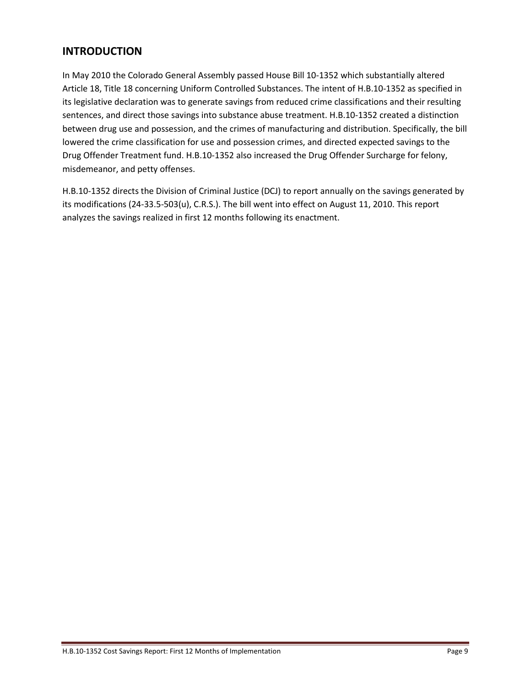## **INTRODUCTION**

In May 2010 the Colorado General Assembly passed House Bill 10-1352 which substantially altered Article 18, Title 18 concerning Uniform Controlled Substances. The intent of H.B.10-1352 as specified in its legislative declaration was to generate savings from reduced crime classifications and their resulting sentences, and direct those savings into substance abuse treatment. H.B.10-1352 created a distinction between drug use and possession, and the crimes of manufacturing and distribution. Specifically, the bill lowered the crime classification for use and possession crimes, and directed expected savings to the Drug Offender Treatment fund. H.B.10-1352 also increased the Drug Offender Surcharge for felony, misdemeanor, and petty offenses.

H.B.10-1352 directs the Division of Criminal Justice (DCJ) to report annually on the savings generated by its modifications (24-33.5-503(u), C.R.S.). The bill went into effect on August 11, 2010. This report analyzes the savings realized in first 12 months following its enactment.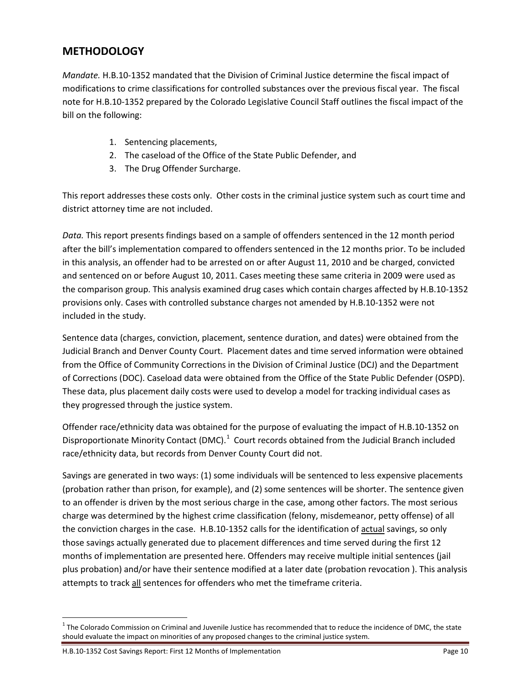## **METHODOLOGY**

*Mandate.* H.B.10-1352 mandated that the Division of Criminal Justice determine the fiscal impact of modifications to crime classifications for controlled substances over the previous fiscal year. The fiscal note for H.B.10-1352 prepared by the Colorado Legislative Council Staff outlines the fiscal impact of the bill on the following:

- 1. Sentencing placements,
- 2. The caseload of the Office of the State Public Defender, and
- 3. The Drug Offender Surcharge.

This report addresses these costs only. Other costs in the criminal justice system such as court time and district attorney time are not included.

*Data.* This report presents findings based on a sample of offenders sentenced in the 12 month period after the bill's implementation compared to offenders sentenced in the 12 months prior. To be included in this analysis, an offender had to be arrested on or after August 11, 2010 and be charged, convicted and sentenced on or before August 10, 2011. Cases meeting these same criteria in 2009 were used as the comparison group. This analysis examined drug cases which contain charges affected by H.B.10-1352 provisions only. Cases with controlled substance charges not amended by H.B.10-1352 were not included in the study.

Sentence data (charges, conviction, placement, sentence duration, and dates) were obtained from the Judicial Branch and Denver County Court. Placement dates and time served information were obtained from the Office of Community Corrections in the Division of Criminal Justice (DCJ) and the Department of Corrections (DOC). Caseload data were obtained from the Office of the State Public Defender (OSPD). These data, plus placement daily costs were used to develop a model for tracking individual cases as they progressed through the justice system.

Offender race/ethnicity data was obtained for the purpose of evaluating the impact of H.B.10-1352 on Disproportionate Minority Contact (DMC).<sup>[1](#page-0-0)</sup> Court records obtained from the Judicial Branch included race/ethnicity data, but records from Denver County Court did not.

Savings are generated in two ways: (1) some individuals will be sentenced to less expensive placements (probation rather than prison, for example), and (2) some sentences will be shorter. The sentence given to an offender is driven by the most serious charge in the case, among other factors. The most serious charge was determined by the highest crime classification (felony, misdemeanor, petty offense) of all the conviction charges in the case. H.B.10-1352 calls for the identification of actual savings, so only those savings actually generated due to placement differences and time served during the first 12 months of implementation are presented here. Offenders may receive multiple initial sentences (jail plus probation) and/or have their sentence modified at a later date (probation revocation ). This analysis attempts to track all sentences for offenders who met the timeframe criteria.

<span id="page-9-0"></span> $1$  The Colorado Commission on Criminal and Juvenile Justice has recommended that to reduce the incidence of DMC, the state should evaluate the impact on minorities of any proposed changes to the criminal justice system.

H.B.10-1352 Cost Savings Report: First 12 Months of Implementation Page 10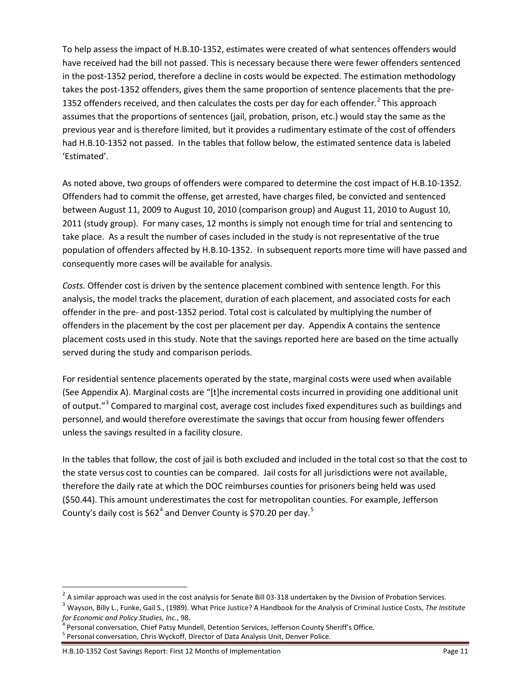To help assess the impact of H.B.10-1352, estimates were created of what sentences offenders would have received had the bill not passed. This is necessary because there were fewer offenders sentenced in the post-1352 period, therefore a decline in costs would be expected. The estimation methodology takes the post-1352 offenders, gives them the same proportion of sentence placements that the pre-135[2](#page-9-0) offenders received, and then calculates the costs per day for each offender.<sup>2</sup> This approach assumes that the proportions of sentences (jail, probation, prison, etc.) would stay the same as the previous year and is therefore limited, but it provides a rudimentary estimate of the cost of offenders had H.B.10-1352 not passed. In the tables that follow below, the estimated sentence data is labeled 'Estimated'.

As noted above, two groups of offenders were compared to determine the cost impact of H.B.10-1352. Offenders had to commit the offense, get arrested, have charges filed, be convicted and sentenced between August 11, 2009 to August 10, 2010 (comparison group) and August 11, 2010 to August 10, 2011 (study group). For many cases, 12 months is simply not enough time for trial and sentencing to take place. As a result the number of cases included in the study is not representative of the true population of offenders affected by H.B.10-1352. In subsequent reports more time will have passed and consequently more cases will be available for analysis.

*Costs.* Offender cost is driven by the sentence placement combined with sentence length. For this analysis, the model tracks the placement, duration of each placement, and associated costs for each offender in the pre- and post-1352 period. Total cost is calculated by multiplying the number of offenders in the placement by the cost per placement per day. Appendix A contains the sentence placement costs used in this study. Note that the savings reported here are based on the time actually served during the study and comparison periods.

For residential sentence placements operated by the state, marginal costs were used when available (See Appendix A). Marginal costs are "[t]he incremental costs incurred in providing one additional unit of output."<sup>[3](#page-10-0)</sup> Compared to marginal cost, average cost includes fixed expenditures such as buildings and personnel, and would therefore overestimate the savings that occur from housing fewer offenders unless the savings resulted in a facility closure.

In the tables that follow, the cost of jail is both excluded and included in the total cost so that the cost to the state versus cost to counties can be compared. Jail costs for all jurisdictions were not available, therefore the daily rate at which the DOC reimburses counties for prisoners being held was used (\$50.44). This amount underestimates the cost for metropolitan counties. For example, Jefferson County's daily cost is \$62<sup>[4](#page-10-1)</sup> and Denver County is \$70.20 per day.<sup>[5](#page-10-2)</sup>

<span id="page-10-0"></span><sup>&</sup>lt;sup>2</sup> A similar approach was used in the cost analysis for Senate Bill 03-318 undertaken by the Division of Probation Services.<br><sup>3</sup> Wayson, Billy L., Funke, Gail S., (1989). What Price Justice? A Handbook for the Analysis o

<span id="page-10-3"></span><span id="page-10-1"></span><sup>&</sup>lt;sup>4</sup> Personal conversation, Chief Patsy Mundell, Detention Services, Jefferson County Sheriff's Office.<br><sup>5</sup> Personal conversation, Chris Wyckoff, Director of Data Analysis Unit, Denver Police.

<span id="page-10-2"></span>

H.B.10-1352 Cost Savings Report: First 12 Months of Implementation Page 11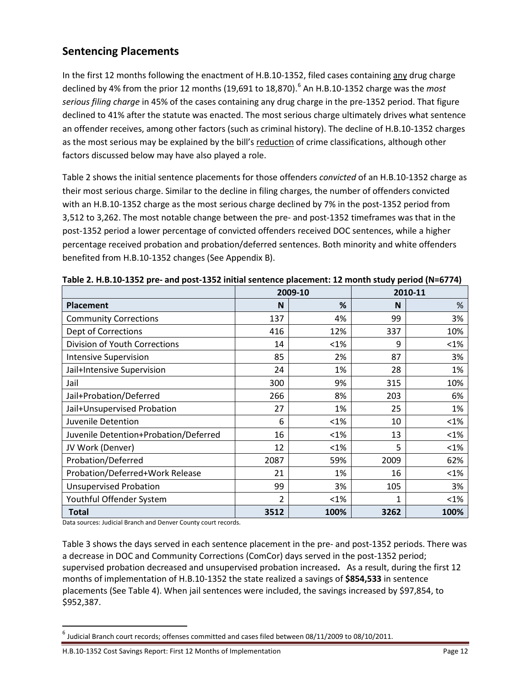## **Sentencing Placements**

In the first 12 months following the enactment of H.B.10-1352, filed cases containing any drug charge declined by 4% from the prior 12 months (19,691 to 18,870). [6](#page-10-3) An H.B.10-1352 charge was the *most serious filing charge* in 45% of the cases containing any drug charge in the pre-1352 period. That figure declined to 41% after the statute was enacted. The most serious charge ultimately drives what sentence an offender receives, among other factors (such as criminal history). The decline of H.B.10-1352 charges as the most serious may be explained by the bill's reduction of crime classifications, although other factors discussed below may have also played a role.

Table 2 shows the initial sentence placements for those offenders *convicted* of an H.B.10-1352 charge as their most serious charge. Similar to the decline in filing charges, the number of offenders convicted with an H.B.10-1352 charge as the most serious charge declined by 7% in the post-1352 period from 3,512 to 3,262. The most notable change between the pre- and post-1352 timeframes was that in the post-1352 period a lower percentage of convicted offenders received DOC sentences, while a higher percentage received probation and probation/deferred sentences. Both minority and white offenders benefited from H.B.10-1352 changes (See Appendix B).

|                                       | 2009-10 |         |      | 2010-11 |
|---------------------------------------|---------|---------|------|---------|
| <b>Placement</b>                      | N       | %       | N    | %       |
| <b>Community Corrections</b>          | 137     | 4%      | 99   | 3%      |
| Dept of Corrections                   | 416     | 12%     | 337  | 10%     |
| <b>Division of Youth Corrections</b>  | 14      | $< 1\%$ | 9    | $< 1\%$ |
| <b>Intensive Supervision</b>          | 85      | 2%      | 87   | 3%      |
| Jail+Intensive Supervision            | 24      | 1%      | 28   | 1%      |
| Jail                                  | 300     | 9%      | 315  | 10%     |
| Jail+Probation/Deferred               | 266     | 8%      | 203  | 6%      |
| Jail+Unsupervised Probation           | 27      | 1%      | 25   | 1%      |
| Juvenile Detention                    | 6       | $< 1\%$ | 10   | $< 1\%$ |
| Juvenile Detention+Probation/Deferred | 16      | $< 1\%$ | 13   | $< 1\%$ |
| JV Work (Denver)                      | 12      | $< 1\%$ | 5    | $< 1\%$ |
| Probation/Deferred                    | 2087    | 59%     | 2009 | 62%     |
| Probation/Deferred+Work Release       | 21      | 1%      | 16   | $< 1\%$ |
| <b>Unsupervised Probation</b>         | 99      | 3%      | 105  | 3%      |
| Youthful Offender System              | 2       | $< 1\%$ | 1    | $< 1\%$ |
| Total                                 | 3512    | 100%    | 3262 | 100%    |

Data sources: Judicial Branch and Denver County court records.

Table 3 shows the days served in each sentence placement in the pre- and post-1352 periods. There was a decrease in DOC and Community Corrections (ComCor) days served in the post-1352 period; supervised probation decreased and unsupervised probation increased**.** As a result, during the first 12 months of implementation of H.B.10-1352 the state realized a savings of **\$854,533** in sentence placements (See Table 4). When jail sentences were included, the savings increased by \$97,854, to \$952,387.

<span id="page-11-0"></span> $^6$  Judicial Branch court records; offenses committed and cases filed between 08/11/2009 to 08/10/2011.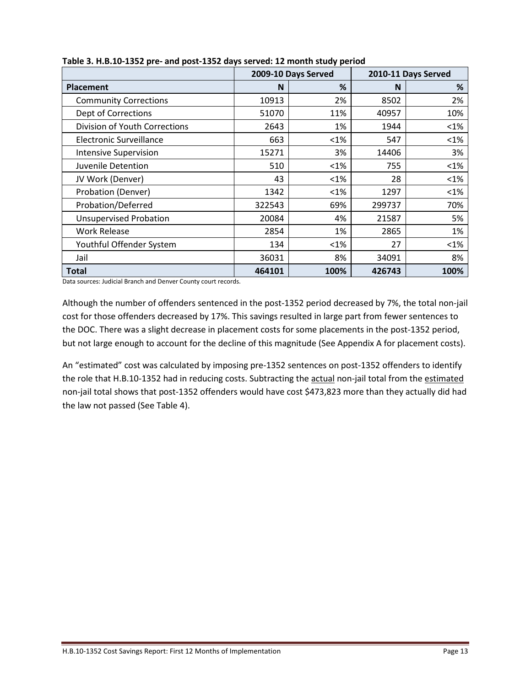|                               |        | 2009-10 Days Served | 2010-11 Days Served |         |
|-------------------------------|--------|---------------------|---------------------|---------|
| <b>Placement</b>              | N      | %                   | N                   | %       |
| <b>Community Corrections</b>  | 10913  | 2%                  | 8502                | 2%      |
| <b>Dept of Corrections</b>    | 51070  | 11%                 | 40957               | 10%     |
| Division of Youth Corrections | 2643   | 1%                  | 1944                | $<$ 1%  |
| Electronic Surveillance       | 663    | $< 1\%$             | 547                 | $< 1\%$ |
| <b>Intensive Supervision</b>  | 15271  | 3%                  | 14406               | 3%      |
| Juvenile Detention            | 510    | $< 1\%$             | 755                 | $< 1\%$ |
| JV Work (Denver)              | 43     | $< 1\%$             | 28                  | $<1\%$  |
| Probation (Denver)            | 1342   | $< 1\%$             | 1297                | $< 1\%$ |
| Probation/Deferred            | 322543 | 69%                 | 299737              | 70%     |
| <b>Unsupervised Probation</b> | 20084  | 4%                  | 21587               | 5%      |
| <b>Work Release</b>           | 2854   | 1%                  | 2865                | 1%      |
| Youthful Offender System      | 134    | $< 1\%$             | 27                  | $< 1\%$ |
| Jail                          | 36031  | 8%                  | 34091               | 8%      |
| <b>Total</b>                  | 464101 | 100%                | 426743              | 100%    |

**Table 3. H.B.10-1352 pre- and post-1352 days served: 12 month study period**

Data sources: Judicial Branch and Denver County court records.

Although the number of offenders sentenced in the post-1352 period decreased by 7%, the total non-jail cost for those offenders decreased by 17%. This savings resulted in large part from fewer sentences to the DOC. There was a slight decrease in placement costs for some placements in the post-1352 period, but not large enough to account for the decline of this magnitude (See Appendix A for placement costs).

An "estimated" cost was calculated by imposing pre-1352 sentences on post-1352 offenders to identify the role that H.B.10-1352 had in reducing costs. Subtracting the actual non-jail total from the estimated non-jail total shows that post-1352 offenders would have cost \$473,823 more than they actually did had the law not passed (See Table 4).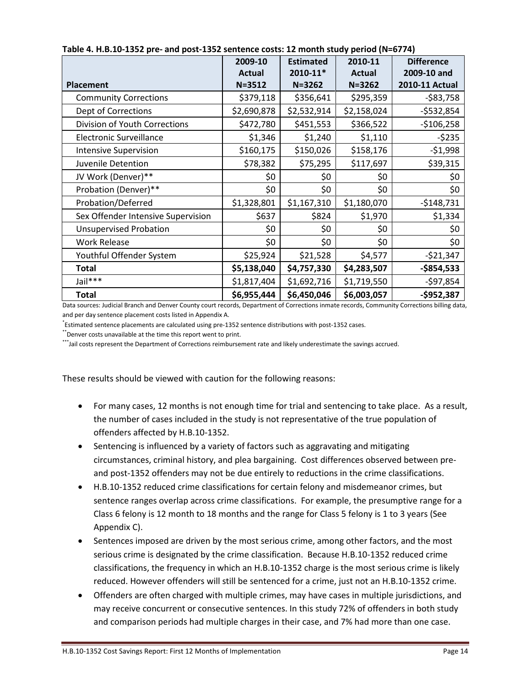|                                    | 2009-10       | <b>Estimated</b> | 2010-11       | <b>Difference</b> |
|------------------------------------|---------------|------------------|---------------|-------------------|
|                                    | <b>Actual</b> | 2010-11*         | <b>Actual</b> | 2009-10 and       |
| <b>Placement</b>                   | $N = 3512$    | $N = 3262$       | $N = 3262$    | 2010-11 Actual    |
| <b>Community Corrections</b>       | \$379,118     | \$356,641        | \$295,359     | $-583,758$        |
| Dept of Corrections                | \$2,690,878   | \$2,532,914      | \$2,158,024   | $-$532,854$       |
| Division of Youth Corrections      | \$472,780     | \$451,553        | \$366,522     | $-$106,258$       |
| <b>Electronic Surveillance</b>     | \$1,346       | \$1,240          | \$1,110       | $-5235$           |
| <b>Intensive Supervision</b>       | \$160,175     | \$150,026        | \$158,176     | $-51,998$         |
| Juvenile Detention                 | \$78,382      | \$75,295         | \$117,697     | \$39,315          |
| JV Work (Denver)**                 | \$0           | \$0              | \$0           | \$0               |
| Probation (Denver)**               | \$0           | \$0              | \$0           | \$0               |
| Probation/Deferred                 | \$1,328,801   | \$1,167,310      | \$1,180,070   | $-$148,731$       |
| Sex Offender Intensive Supervision | \$637         | \$824            | \$1,970       | \$1,334           |
| <b>Unsupervised Probation</b>      | \$0           | \$0              | \$0           | \$0               |
| <b>Work Release</b>                | \$0           | \$0              | \$0           | \$0               |
| Youthful Offender System           | \$25,924      | \$21,528         | \$4,577       | $-521,347$        |
| <b>Total</b>                       | \$5,138,040   | \$4,757,330      | \$4,283,507   | $-$854,533$       |
| Jail***                            | \$1,817,404   | \$1,692,716      | \$1,719,550   | $-$97,854$        |
| <b>Total</b>                       | \$6,955,444   | \$6,450,046      | \$6,003,057   | $-$952,387$       |

#### **Table 4. H.B.10-1352 pre- and post-1352 sentence costs: 12 month study period (N=6774)**

Data sources: Judicial Branch and Denver County court records, Department of Corrections inmate records, Community Corrections billing data, and per day sentence placement costs listed in Appendix A.

\* Estimated sentence placements are calculated using pre-1352 sentence distributions with post-1352 cases.

\*\*Denver costs unavailable at the time this report went to print.

\*\*\*Jail costs represent the Department of Corrections reimbursement rate and likely underestimate the savings accrued.

These results should be viewed with caution for the following reasons:

- For many cases, 12 months is not enough time for trial and sentencing to take place. As a result, the number of cases included in the study is not representative of the true population of offenders affected by H.B.10-1352.
- Sentencing is influenced by a variety of factors such as aggravating and mitigating circumstances, criminal history, and plea bargaining. Cost differences observed between preand post-1352 offenders may not be due entirely to reductions in the crime classifications.
- H.B.10-1352 reduced crime classifications for certain felony and misdemeanor crimes, but sentence ranges overlap across crime classifications. For example, the presumptive range for a Class 6 felony is 12 month to 18 months and the range for Class 5 felony is 1 to 3 years (See Appendix C).
- Sentences imposed are driven by the most serious crime, among other factors, and the most serious crime is designated by the crime classification. Because H.B.10-1352 reduced crime classifications, the frequency in which an H.B.10-1352 charge is the most serious crime is likely reduced. However offenders will still be sentenced for a crime, just not an H.B.10-1352 crime.
- Offenders are often charged with multiple crimes, may have cases in multiple jurisdictions, and may receive concurrent or consecutive sentences. In this study 72% of offenders in both study and comparison periods had multiple charges in their case, and 7% had more than one case.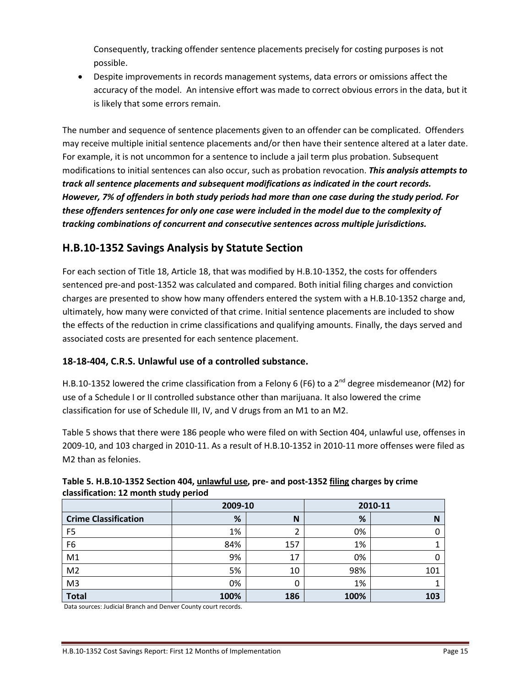Consequently, tracking offender sentence placements precisely for costing purposes is not possible.

• Despite improvements in records management systems, data errors or omissions affect the accuracy of the model. An intensive effort was made to correct obvious errors in the data, but it is likely that some errors remain.

The number and sequence of sentence placements given to an offender can be complicated. Offenders may receive multiple initial sentence placements and/or then have their sentence altered at a later date. For example, it is not uncommon for a sentence to include a jail term plus probation. Subsequent modifications to initial sentences can also occur, such as probation revocation. *This analysis attempts to track all sentence placements and subsequent modifications as indicated in the court records. However, 7% of offenders in both study periods had more than one case during the study period. For these offenders sentences for only one case were included in the model due to the complexity of tracking combinations of concurrent and consecutive sentences across multiple jurisdictions.* 

## **H.B.10-1352 Savings Analysis by Statute Section**

For each section of Title 18, Article 18, that was modified by H.B.10-1352, the costs for offenders sentenced pre-and post-1352 was calculated and compared. Both initial filing charges and conviction charges are presented to show how many offenders entered the system with a H.B.10-1352 charge and, ultimately, how many were convicted of that crime. Initial sentence placements are included to show the effects of the reduction in crime classifications and qualifying amounts. Finally, the days served and associated costs are presented for each sentence placement.

#### **18-18-404, C.R.S. Unlawful use of a controlled substance.**

H.B.10-1352 lowered the crime classification from a Felony 6 (F6) to a  $2^{nd}$  degree misdemeanor (M2) for use of a Schedule I or II controlled substance other than marijuana. It also lowered the crime classification for use of Schedule III, IV, and V drugs from an M1 to an M2.

Table 5 shows that there were 186 people who were filed on with Section 404, unlawful use, offenses in 2009-10, and 103 charged in 2010-11. As a result of H.B.10-1352 in 2010-11 more offenses were filed as M2 than as felonies.

|                             | 2009-10 |     | 2010-11 |     |  |
|-----------------------------|---------|-----|---------|-----|--|
| <b>Crime Classification</b> | %       | N   | %       | N   |  |
| F <sub>5</sub>              | 1%      |     | 0%      |     |  |
| F <sub>6</sub>              | 84%     | 157 | 1%      |     |  |
| M1                          | 9%      | 17  | 0%      |     |  |
| M <sub>2</sub>              | 5%      | 10  | 98%     | 101 |  |
| M <sub>3</sub>              | 0%      | 0   | 1%      |     |  |
| <b>Total</b>                | 100%    | 186 | 100%    | 103 |  |

#### **Table 5. H.B.10-1352 Section 404, unlawful use, pre- and post-1352 filing charges by crime classification: 12 month study period**

Data sources: Judicial Branch and Denver County court records.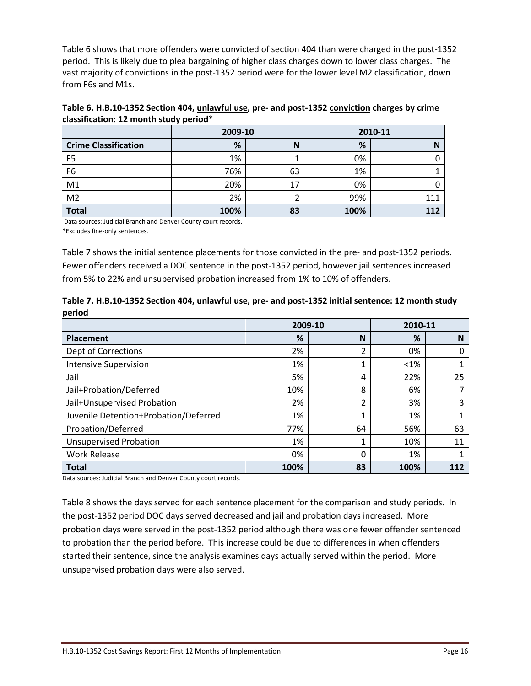Table 6 shows that more offenders were convicted of section 404 than were charged in the post-1352 period. This is likely due to plea bargaining of higher class charges down to lower class charges. The vast majority of convictions in the post-1352 period were for the lower level M2 classification, down from F6s and M1s.

| Table 6. H.B.10-1352 Section 404, <i>unlawful use</i> , pre- and post-1352 <i>conviction</i> charges by crime |
|---------------------------------------------------------------------------------------------------------------|
| classification: 12 month study period*                                                                        |

|                             | 2009-10 |    | 2010-11 |     |
|-----------------------------|---------|----|---------|-----|
| <b>Crime Classification</b> | %       | N  | %       |     |
| F <sub>5</sub>              | 1%      |    | 0%      |     |
| F <sub>6</sub>              | 76%     | 63 | 1%      |     |
| M <sub>1</sub>              | 20%     | 17 | 0%      |     |
| M <sub>2</sub>              | 2%      |    | 99%     | 111 |
| <b>Total</b>                | 100%    | 83 | 100%    | 112 |

Data sources: Judicial Branch and Denver County court records.

\*Excludes fine-only sentences.

Table 7 shows the initial sentence placements for those convicted in the pre- and post-1352 periods. Fewer offenders received a DOC sentence in the post-1352 period, however jail sentences increased from 5% to 22% and unsupervised probation increased from 1% to 10% of offenders.

| Table 7. H.B.10-1352 Section 404, <i>unlawful use</i> , pre- and post-1352 <i>initial sentence</i> : 12 month study |  |
|---------------------------------------------------------------------------------------------------------------------|--|
| period                                                                                                              |  |

|                                       |      | 2009-10  |         | 2010-11 |
|---------------------------------------|------|----------|---------|---------|
| Placement                             | %    | N        | %       | N       |
| <b>Dept of Corrections</b>            | 2%   | ำ        | 0%      | 0       |
| <b>Intensive Supervision</b>          | 1%   |          | $< 1\%$ |         |
| Jail                                  | 5%   | 4        | 22%     | 25      |
| Jail+Probation/Deferred               | 10%  | 8        | 6%      |         |
| Jail+Unsupervised Probation           | 2%   | ำ        | 3%      | 3       |
| Juvenile Detention+Probation/Deferred | 1%   |          | 1%      |         |
| Probation/Deferred                    | 77%  | 64       | 56%     | 63      |
| <b>Unsupervised Probation</b>         | 1%   |          | 10%     | 11      |
| <b>Work Release</b>                   | 0%   | $\Omega$ | 1%      |         |
| <b>Total</b>                          | 100% | 83       | 100%    |         |

Data sources: Judicial Branch and Denver County court records.

Table 8 shows the days served for each sentence placement for the comparison and study periods. In the post-1352 period DOC days served decreased and jail and probation days increased. More probation days were served in the post-1352 period although there was one fewer offender sentenced to probation than the period before. This increase could be due to differences in when offenders started their sentence, since the analysis examines days actually served within the period. More unsupervised probation days were also served.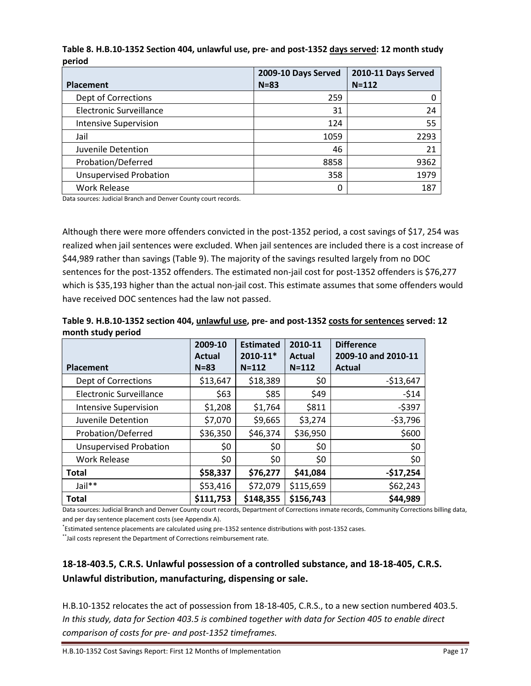**Table 8. H.B.10-1352 Section 404, unlawful use, pre- and post-1352 days served: 12 month study period**

|                               | 2009-10 Days Served | 2010-11 Days Served |
|-------------------------------|---------------------|---------------------|
| <b>Placement</b>              | $N = 83$            | $N = 112$           |
| Dept of Corrections           | 259                 |                     |
| Electronic Surveillance       | 31                  | 24                  |
| <b>Intensive Supervision</b>  | 124                 | 55                  |
| Jail                          | 1059                | 2293                |
| Juvenile Detention            | 46                  | 21                  |
| Probation/Deferred            | 8858                | 9362                |
| <b>Unsupervised Probation</b> | 358                 | 1979                |
| <b>Work Release</b>           |                     | 187                 |

Data sources: Judicial Branch and Denver County court records.

Although there were more offenders convicted in the post-1352 period, a cost savings of \$17, 254 was realized when jail sentences were excluded. When jail sentences are included there is a cost increase of \$44,989 rather than savings (Table 9). The majority of the savings resulted largely from no DOC sentences for the post-1352 offenders. The estimated non-jail cost for post-1352 offenders is \$76,277 which is \$35,193 higher than the actual non-jail cost. This estimate assumes that some offenders would have received DOC sentences had the law not passed.

| Table 9. H.B.10-1352 section 404, unlawful use, pre- and post-1352 costs for sentences served: 12 |  |  |
|---------------------------------------------------------------------------------------------------|--|--|
| month study period                                                                                |  |  |

| . .                           | 2009-10<br><b>Actual</b> | <b>Estimated</b><br>2010-11* | 2010-11<br><b>Actual</b> | <b>Difference</b><br>2009-10 and 2010-11 |
|-------------------------------|--------------------------|------------------------------|--------------------------|------------------------------------------|
| <b>Placement</b>              | $N = 83$                 | $N = 112$                    | $N = 112$                | <b>Actual</b>                            |
| Dept of Corrections           | \$13,647                 | \$18,389                     | \$0                      | $-$13,647$                               |
| Electronic Surveillance       | \$63                     | \$85                         | \$49                     | $-514$                                   |
| <b>Intensive Supervision</b>  | \$1,208                  | \$1,764                      | \$811                    | $-5397$                                  |
| Juvenile Detention            | \$7,070                  | \$9,665                      | \$3,274                  | $-53,796$                                |
| Probation/Deferred            | \$36,350                 | \$46,374                     | \$36,950                 | \$600                                    |
| <b>Unsupervised Probation</b> | \$0                      | \$0                          | \$0                      | \$0                                      |
| <b>Work Release</b>           | \$0                      | \$0                          | \$0                      | \$0                                      |
| <b>Total</b>                  | \$58,337                 | \$76,277                     | \$41,084                 | $-$17,254$                               |
| Jail**                        | \$53,416                 | \$72,079                     | \$115,659                | \$62,243                                 |
| <b>Total</b>                  | \$111,753                | \$148,355                    | \$156,743                | \$44,989                                 |

Data sources: Judicial Branch and Denver County court records, Department of Corrections inmate records, Community Corrections billing data, and per day sentence placement costs (see Appendix A).

\* Estimated sentence placements are calculated using pre-1352 sentence distributions with post-1352 cases.

\*\*Jail costs represent the Department of Corrections reimbursement rate.

## **18-18-403.5, C.R.S. Unlawful possession of a controlled substance, and 18-18-405, C.R.S. Unlawful distribution, manufacturing, dispensing or sale.**

H.B.10-1352 relocates the act of possession from 18-18-405, C.R.S., to a new section numbered 403.5. *In this study, data for Section 403.5 is combined together with data for Section 405 to enable direct comparison of costs for pre- and post-1352 timeframes.*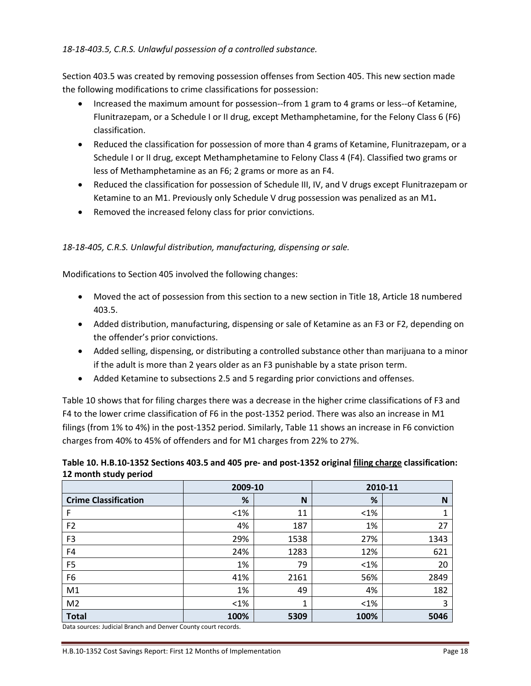#### *18-18-403.5, C.R.S. Unlawful possession of a controlled substance.*

Section 403.5 was created by removing possession offenses from Section 405. This new section made the following modifications to crime classifications for possession:

- Increased the maximum amount for possession--from 1 gram to 4 grams or less--of Ketamine, Flunitrazepam, or a Schedule I or II drug, except Methamphetamine, for the Felony Class 6 (F6) classification.
- Reduced the classification for possession of more than 4 grams of Ketamine, Flunitrazepam, or a Schedule I or II drug, except Methamphetamine to Felony Class 4 (F4). Classified two grams or less of Methamphetamine as an F6; 2 grams or more as an F4.
- Reduced the classification for possession of Schedule III, IV, and V drugs except Flunitrazepam or Ketamine to an M1. Previously only Schedule V drug possession was penalized as an M1**.**
- Removed the increased felony class for prior convictions.

#### *18-18-405, C.R.S. Unlawful distribution, manufacturing, dispensing or sale.*

Modifications to Section 405 involved the following changes:

- Moved the act of possession from this section to a new section in Title 18, Article 18 numbered 403.5.
- Added distribution, manufacturing, dispensing or sale of Ketamine as an F3 or F2, depending on the offender's prior convictions.
- Added selling, dispensing, or distributing a controlled substance other than marijuana to a minor if the adult is more than 2 years older as an F3 punishable by a state prison term.
- Added Ketamine to subsections 2.5 and 5 regarding prior convictions and offenses.

Table 10 shows that for filing charges there was a decrease in the higher crime classifications of F3 and F4 to the lower crime classification of F6 in the post-1352 period. There was also an increase in M1 filings (from 1% to 4%) in the post-1352 period. Similarly, Table 11 shows an increase in F6 conviction charges from 40% to 45% of offenders and for M1 charges from 22% to 27%.

| Table 10. H.B.10-1352 Sections 403.5 and 405 pre- and post-1352 original filing charge classification: |
|--------------------------------------------------------------------------------------------------------|
| 12 month study period                                                                                  |

|                             | 2009-10 |      | 2010-11 |      |
|-----------------------------|---------|------|---------|------|
| <b>Crime Classification</b> | %       | N    | %       | N    |
| F                           | $< 1\%$ | 11   | $<$ 1%  |      |
| F <sub>2</sub>              | 4%      | 187  | 1%      | 27   |
| F <sub>3</sub>              | 29%     | 1538 | 27%     | 1343 |
| F4                          | 24%     | 1283 | 12%     | 621  |
| F <sub>5</sub>              | 1%      | 79   | $<$ 1%  | 20   |
| F <sub>6</sub>              | 41%     | 2161 | 56%     | 2849 |
| M1                          | 1%      | 49   | 4%      | 182  |
| M <sub>2</sub>              | $< 1\%$ | 1    | $< 1\%$ | 3    |
| <b>Total</b>                | 100%    | 5309 | 100%    | 5046 |

Data sources: Judicial Branch and Denver County court records.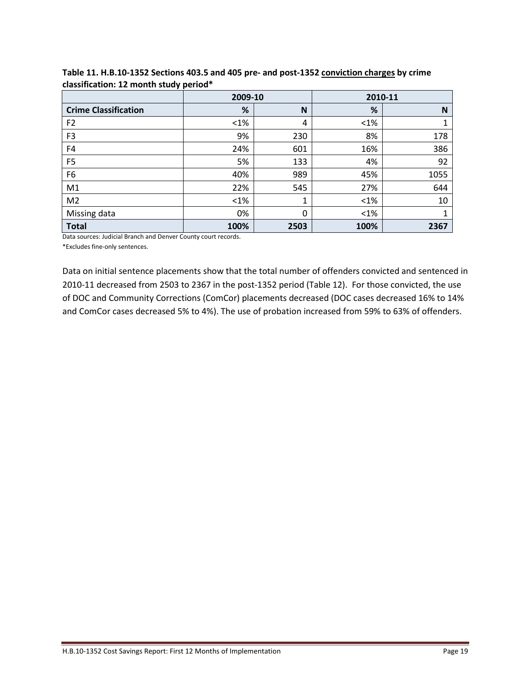|                             | 2009-10 |              |         | 2010-11 |
|-----------------------------|---------|--------------|---------|---------|
| <b>Crime Classification</b> | %       | N            | %       | N       |
| F <sub>2</sub>              | $<$ 1%  | 4            | $< 1\%$ | 1       |
| F <sub>3</sub>              | 9%      | 230          | 8%      | 178     |
| F4                          | 24%     | 601          | 16%     | 386     |
| F <sub>5</sub>              | 5%      | 133          | 4%      | 92      |
| F6                          | 40%     | 989          | 45%     | 1055    |
| M1                          | 22%     | 545          | 27%     | 644     |
| M <sub>2</sub>              | $<$ 1%  | $\mathbf{1}$ | $< 1\%$ | 10      |
| Missing data                | 0%      | $\Omega$     | $< 1\%$ | 1       |
| <b>Total</b>                | 100%    | 2503         | 100%    | 2367    |

**Table 11. H.B.10-1352 Sections 403.5 and 405 pre- and post-1352 conviction charges by crime classification: 12 month study period\***

Data sources: Judicial Branch and Denver County court records.

\*Excludes fine-only sentences.

Data on initial sentence placements show that the total number of offenders convicted and sentenced in 2010-11 decreased from 2503 to 2367 in the post-1352 period (Table 12). For those convicted, the use of DOC and Community Corrections (ComCor) placements decreased (DOC cases decreased 16% to 14% and ComCor cases decreased 5% to 4%). The use of probation increased from 59% to 63% of offenders.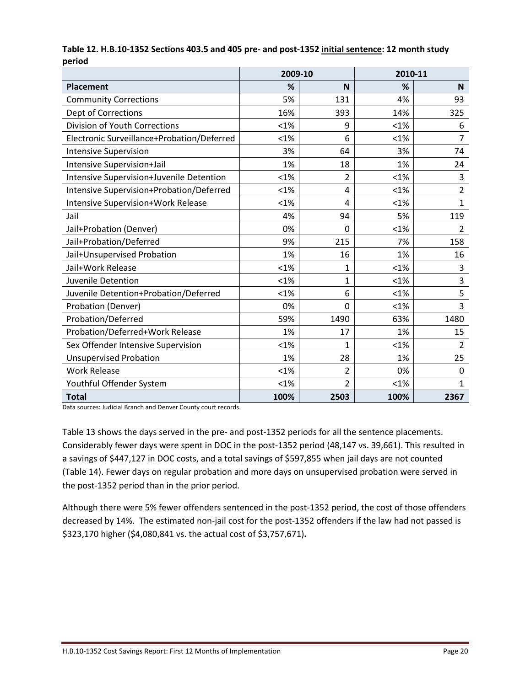|                                            | 2009-10 |                | 2010-11 |                |
|--------------------------------------------|---------|----------------|---------|----------------|
| <b>Placement</b>                           | %       | N              | %       | <b>N</b>       |
| <b>Community Corrections</b>               | 5%      | 131            | 4%      | 93             |
| Dept of Corrections                        | 16%     | 393            | 14%     | 325            |
| Division of Youth Corrections              | $< 1\%$ | 9              | $< 1\%$ | 6              |
| Electronic Surveillance+Probation/Deferred | <1%     | 6              | < 1%    | 7              |
| <b>Intensive Supervision</b>               | 3%      | 64             | 3%      | 74             |
| Intensive Supervision+Jail                 | 1%      | 18             | 1%      | 24             |
| Intensive Supervision+Juvenile Detention   | $< 1\%$ | $\overline{2}$ | < 1%    | 3              |
| Intensive Supervision+Probation/Deferred   | $< 1\%$ | 4              | < 1%    | $\overline{2}$ |
| Intensive Supervision+Work Release         | $< 1\%$ | 4              | < 1%    | 1              |
| Jail                                       | 4%      | 94             | 5%      | 119            |
| Jail+Probation (Denver)                    | 0%      | $\overline{0}$ | < 1%    | $\overline{2}$ |
| Jail+Probation/Deferred                    | 9%      | 215            | 7%      | 158            |
| Jail+Unsupervised Probation                | 1%      | 16             | 1%      | 16             |
| Jail+Work Release                          | $< 1\%$ | $\mathbf{1}$   | $< 1\%$ | 3              |
| Juvenile Detention                         | $< 1\%$ | $\mathbf{1}$   | $< 1\%$ | 3              |
| Juvenile Detention+Probation/Deferred      | < 1%    | 6              | < 1%    | 5              |
| Probation (Denver)                         | 0%      | $\overline{0}$ | < 1%    | 3              |
| Probation/Deferred                         | 59%     | 1490           | 63%     | 1480           |
| Probation/Deferred+Work Release            | 1%      | 17             | 1%      | 15             |
| Sex Offender Intensive Supervision         | $< 1\%$ | $\mathbf{1}$   | < 1%    | $\overline{2}$ |
| <b>Unsupervised Probation</b>              | 1%      | 28             | 1%      | 25             |
| <b>Work Release</b>                        | $< 1\%$ | $\overline{2}$ | 0%      | 0              |
| Youthful Offender System                   | < 1%    | $\overline{2}$ | < 1%    | 1              |
| <b>Total</b>                               | 100%    | 2503           | 100%    | 2367           |

#### **Table 12. H.B.10-1352 Sections 403.5 and 405 pre- and post-1352 initial sentence: 12 month study period**

Data sources: Judicial Branch and Denver County court records.

Table 13 shows the days served in the pre- and post-1352 periods for all the sentence placements. Considerably fewer days were spent in DOC in the post-1352 period (48,147 vs. 39,661). This resulted in a savings of \$447,127 in DOC costs, and a total savings of \$597,855 when jail days are not counted (Table 14). Fewer days on regular probation and more days on unsupervised probation were served in the post-1352 period than in the prior period.

Although there were 5% fewer offenders sentenced in the post-1352 period, the cost of those offenders decreased by 14%. The estimated non-jail cost for the post-1352 offenders if the law had not passed is \$323,170 higher (\$4,080,841 vs. the actual cost of \$3,757,671)**.**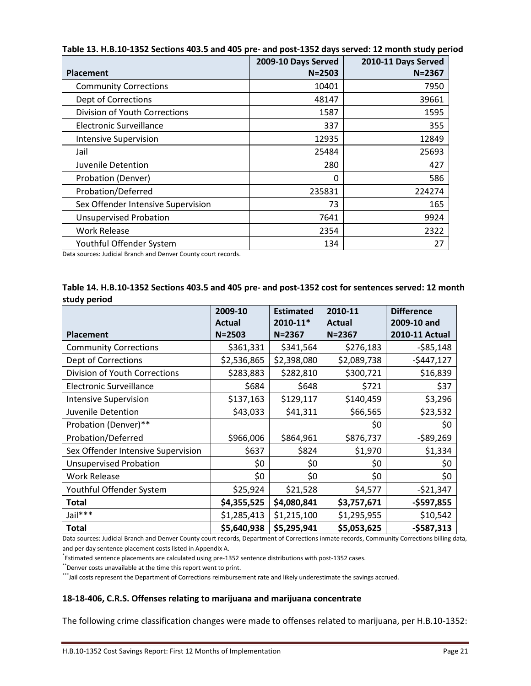|                                    | 2009-10 Days Served | 2010-11 Days Served |
|------------------------------------|---------------------|---------------------|
| <b>Placement</b>                   | $N = 2503$          | $N = 2367$          |
| <b>Community Corrections</b>       | 10401               | 7950                |
| Dept of Corrections                | 48147               | 39661               |
| Division of Youth Corrections      | 1587                | 1595                |
| Electronic Surveillance            | 337                 | 355                 |
| <b>Intensive Supervision</b>       | 12935               | 12849               |
| Jail                               | 25484               | 25693               |
| Juvenile Detention                 | 280                 | 427                 |
| Probation (Denver)                 | 0                   | 586                 |
| Probation/Deferred                 | 235831              | 224274              |
| Sex Offender Intensive Supervision | 73                  | 165                 |
| <b>Unsupervised Probation</b>      | 7641                | 9924                |
| <b>Work Release</b>                | 2354                | 2322                |
| Youthful Offender System           | 134                 | 27                  |

**Table 13. H.B.10-1352 Sections 403.5 and 405 pre- and post-1352 days served: 12 month study period**

Data sources: Judicial Branch and Denver County court records.

| Table 14. H.B.10-1352 Sections 403.5 and 405 pre- and post-1352 cost for sentences served: 12 month |  |
|-----------------------------------------------------------------------------------------------------|--|
| study period                                                                                        |  |

|                                    | 2009-10     | <b>Estimated</b> | 2010-11       | <b>Difference</b> |
|------------------------------------|-------------|------------------|---------------|-------------------|
|                                    | Actual      | 2010-11*         | <b>Actual</b> | 2009-10 and       |
| <b>Placement</b>                   | $N = 2503$  | $N = 2367$       | $N = 2367$    | 2010-11 Actual    |
| <b>Community Corrections</b>       | \$361,331   | \$341,564        | \$276,183     | $-585,148$        |
| Dept of Corrections                | \$2,536,865 | \$2,398,080      | \$2,089,738   | $-$447,127$       |
| Division of Youth Corrections      | \$283,883   | \$282,810        | \$300,721     | \$16,839          |
| <b>Electronic Surveillance</b>     | \$684       | \$648            | \$721         | \$37              |
| <b>Intensive Supervision</b>       | \$137,163   | \$129,117        | \$140,459     | \$3,296           |
| Juvenile Detention                 | \$43,033    | \$41,311         | \$66,565      | \$23,532          |
| Probation (Denver)**               |             |                  | \$0           | \$0               |
| Probation/Deferred                 | \$966,006   | \$864,961        | \$876,737     | $-589,269$        |
| Sex Offender Intensive Supervision | \$637       | \$824            | \$1,970       | \$1,334           |
| <b>Unsupervised Probation</b>      | \$0         | \$0              | \$0           | \$0               |
| <b>Work Release</b>                | \$0         | \$0              | \$0           | \$0               |
| Youthful Offender System           | \$25,924    | \$21,528         | \$4,577       | $-521,347$        |
| Total                              | \$4,355,525 | \$4,080,841      | \$3,757,671   | $-$597,855$       |
| Jail***                            | \$1,285,413 | \$1,215,100      | \$1,295,955   | \$10,542          |
| <b>Total</b>                       | \$5,640,938 | \$5,295,941      | \$5,053,625   | $-$587,313$       |

Data sources: Judicial Branch and Denver County court records, Department of Corrections inmate records, Community Corrections billing data, and per day sentence placement costs listed in Appendix A.

\* Estimated sentence placements are calculated using pre-1352 sentence distributions with post-1352 cases.

\*\*Denver costs unavailable at the time this report went to print.

\*\*\*Jail costs represent the Department of Corrections reimbursement rate and likely underestimate the savings accrued.

#### **18-18-406, C.R.S. Offenses relating to marijuana and marijuana concentrate**

The following crime classification changes were made to offenses related to marijuana, per H.B.10-1352: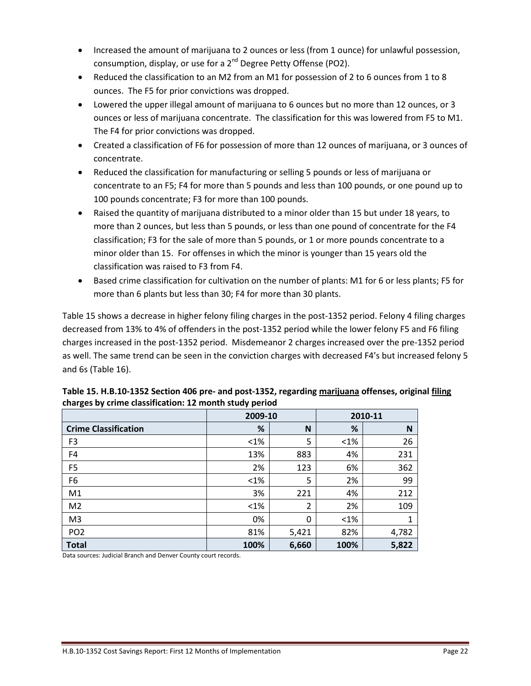- Increased the amount of marijuana to 2 ounces or less (from 1 ounce) for unlawful possession, consumption, display, or use for a  $2^{nd}$  Degree Petty Offense (PO2).
- Reduced the classification to an M2 from an M1 for possession of 2 to 6 ounces from 1 to 8 ounces. The F5 for prior convictions was dropped.
- Lowered the upper illegal amount of marijuana to 6 ounces but no more than 12 ounces, or 3 ounces or less of marijuana concentrate. The classification for this was lowered from F5 to M1. The F4 for prior convictions was dropped.
- Created a classification of F6 for possession of more than 12 ounces of marijuana, or 3 ounces of concentrate.
- Reduced the classification for manufacturing or selling 5 pounds or less of marijuana or concentrate to an F5; F4 for more than 5 pounds and less than 100 pounds, or one pound up to 100 pounds concentrate; F3 for more than 100 pounds.
- Raised the quantity of marijuana distributed to a minor older than 15 but under 18 years, to more than 2 ounces, but less than 5 pounds, or less than one pound of concentrate for the F4 classification; F3 for the sale of more than 5 pounds, or 1 or more pounds concentrate to a minor older than 15. For offenses in which the minor is younger than 15 years old the classification was raised to F3 from F4.
- Based crime classification for cultivation on the number of plants: M1 for 6 or less plants; F5 for more than 6 plants but less than 30; F4 for more than 30 plants.

Table 15 shows a decrease in higher felony filing charges in the post-1352 period. Felony 4 filing charges decreased from 13% to 4% of offenders in the post-1352 period while the lower felony F5 and F6 filing charges increased in the post-1352 period. Misdemeanor 2 charges increased over the pre-1352 period as well. The same trend can be seen in the conviction charges with decreased F4's but increased felony 5 and 6s (Table 16).

| -                           | 2009-10 |       |         | 2010-11 |
|-----------------------------|---------|-------|---------|---------|
| <b>Crime Classification</b> | %       | N     | %       | N       |
| F <sub>3</sub>              | $<1\%$  | 5     | $< 1\%$ | 26      |
| F4                          | 13%     | 883   | 4%      | 231     |
| F <sub>5</sub>              | 2%      | 123   | 6%      | 362     |
| F <sub>6</sub>              | $<1\%$  | 5     | 2%      | 99      |
| M1                          | 3%      | 221   | 4%      | 212     |
| M <sub>2</sub>              | $<1\%$  | 2     | 2%      | 109     |
| M <sub>3</sub>              | 0%      | 0     | $< 1\%$ | 1       |
| PO <sub>2</sub>             | 81%     | 5,421 | 82%     | 4,782   |
| <b>Total</b>                | 100%    | 6,660 | 100%    | 5,822   |

| Table 15. H.B.10-1352 Section 406 pre- and post-1352, regarding marijuana offenses, original filing |
|-----------------------------------------------------------------------------------------------------|
| charges by crime classification: 12 month study period                                              |

Data sources: Judicial Branch and Denver County court records.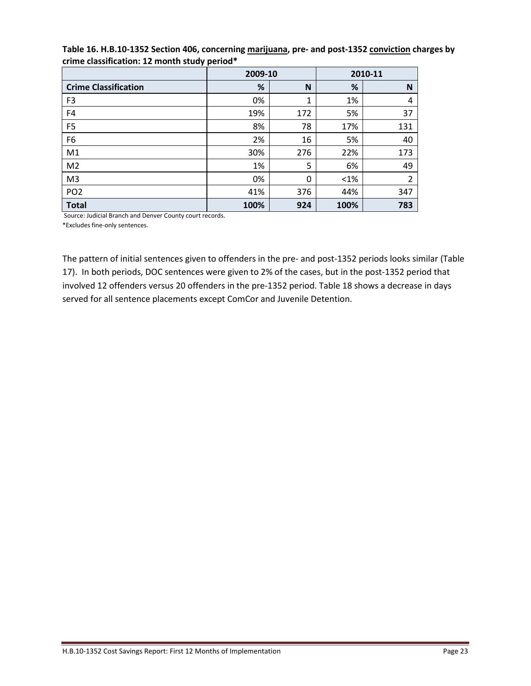|                             | 2009-10 |     |         | 2010-11 |
|-----------------------------|---------|-----|---------|---------|
| <b>Crime Classification</b> | %       | N   | %       | N       |
| F <sub>3</sub>              | 0%      | 1   | 1%      | 4       |
| F4                          | 19%     | 172 | 5%      | 37      |
| F <sub>5</sub>              | 8%      | 78  | 17%     | 131     |
| F6                          | 2%      | 16  | 5%      | 40      |
| M <sub>1</sub>              | 30%     | 276 | 22%     | 173     |
| M <sub>2</sub>              | 1%      | 5   | 6%      | 49      |
| M <sub>3</sub>              | 0%      | 0   | $< 1\%$ | 2       |
| PO <sub>2</sub>             | 41%     | 376 | 44%     | 347     |
| <b>Total</b>                | 100%    | 924 | 100%    | 783     |

#### **Table 16. H.B.10-1352 Section 406, concerning marijuana, pre- and post-1352 conviction charges by crime classification: 12 month study period\***

Source: Judicial Branch and Denver County court records.

\*Excludes fine-only sentences.

The pattern of initial sentences given to offenders in the pre- and post-1352 periods looks similar (Table 17). In both periods, DOC sentences were given to 2% of the cases, but in the post-1352 period that involved 12 offenders versus 20 offenders in the pre-1352 period. Table 18 shows a decrease in days served for all sentence placements except ComCor and Juvenile Detention.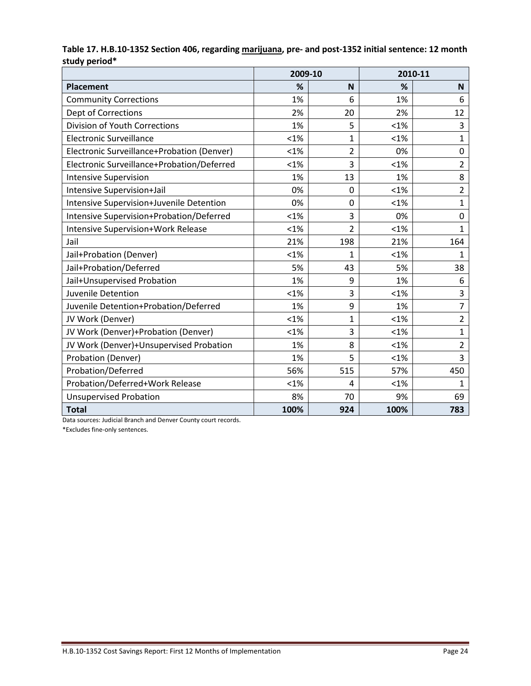|                                            | 2009-10 |                |         | 2010-11        |
|--------------------------------------------|---------|----------------|---------|----------------|
| Placement                                  | %       | N              | %       | N              |
| <b>Community Corrections</b>               | 1%      | 6              | 1%      | 6              |
| <b>Dept of Corrections</b>                 | 2%      | 20             | 2%      | 12             |
| <b>Division of Youth Corrections</b>       | 1%      | 5              | < 1%    | 3              |
| <b>Electronic Surveillance</b>             | $< 1\%$ | 1              | $< 1\%$ | $\mathbf{1}$   |
| Electronic Surveillance+Probation (Denver) | $< 1\%$ | 2              | 0%      | 0              |
| Electronic Surveillance+Probation/Deferred | $< 1\%$ | 3              | < 1%    | $\overline{2}$ |
| <b>Intensive Supervision</b>               | 1%      | 13             | 1%      | 8              |
| Intensive Supervision+Jail                 | 0%      | $\Omega$       | < 1%    | $\overline{2}$ |
| Intensive Supervision+Juvenile Detention   | 0%      | 0              | $< 1\%$ | $\mathbf{1}$   |
| Intensive Supervision+Probation/Deferred   | $< 1\%$ | 3              | 0%      | 0              |
| <b>Intensive Supervision+Work Release</b>  | $< 1\%$ | $\overline{2}$ | < 1%    | $\mathbf{1}$   |
| Jail                                       | 21%     | 198            | 21%     | 164            |
| Jail+Probation (Denver)                    | $< 1\%$ | 1              | < 1%    | 1              |
| Jail+Probation/Deferred                    | 5%      | 43             | 5%      | 38             |
| Jail+Unsupervised Probation                | 1%      | 9              | 1%      | 6              |
| Juvenile Detention                         | $< 1\%$ | 3              | $< 1\%$ | 3              |
| Juvenile Detention+Probation/Deferred      | 1%      | 9              | 1%      | $\overline{7}$ |
| JV Work (Denver)                           | $< 1\%$ | 1              | < 1%    | $\overline{2}$ |
| JV Work (Denver)+Probation (Denver)        | $< 1\%$ | 3              | $< 1\%$ | $\mathbf{1}$   |
| JV Work (Denver)+Unsupervised Probation    | 1%      | 8              | $< 1\%$ | $\overline{2}$ |
| Probation (Denver)                         | 1%      | 5              | $< 1\%$ | 3              |
| Probation/Deferred                         | 56%     | 515            | 57%     | 450            |
| Probation/Deferred+Work Release            | $< 1\%$ | 4              | $< 1\%$ | $\mathbf{1}$   |
| <b>Unsupervised Probation</b>              | 8%      | 70             | 9%      | 69             |
| <b>Total</b>                               | 100%    | 924            | 100%    | 783            |

#### **Table 17. H.B.10-1352 Section 406, regarding marijuana, pre- and post-1352 initial sentence: 12 month study period\***

Data sources: Judicial Branch and Denver County court records.

\*Excludes fine-only sentences.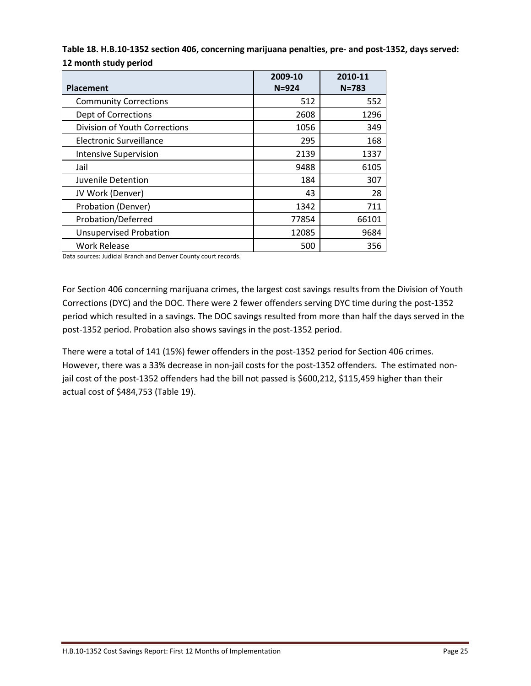| Table 18. H.B.10-1352 section 406, concerning marijuana penalties, pre- and post-1352, days served: |  |
|-----------------------------------------------------------------------------------------------------|--|
| 12 month study period                                                                               |  |

| <b>Placement</b>              | 2009-10<br>$N = 924$ | 2010-11<br>$N = 783$ |
|-------------------------------|----------------------|----------------------|
| <b>Community Corrections</b>  | 512                  | 552                  |
| Dept of Corrections           | 2608                 | 1296                 |
| Division of Youth Corrections | 1056                 | 349                  |
| Electronic Surveillance       | 295                  | 168                  |
| <b>Intensive Supervision</b>  | 2139                 | 1337                 |
| Jail                          | 9488                 | 6105                 |
| Juvenile Detention            | 184                  | 307                  |
| JV Work (Denver)              | 43                   | 28                   |
| Probation (Denver)            | 1342                 | 711                  |
| Probation/Deferred            | 77854                | 66101                |
| <b>Unsupervised Probation</b> | 12085                | 9684                 |
| <b>Work Release</b>           | 500                  | 356                  |

Data sources: Judicial Branch and Denver County court records.

For Section 406 concerning marijuana crimes, the largest cost savings results from the Division of Youth Corrections (DYC) and the DOC. There were 2 fewer offenders serving DYC time during the post-1352 period which resulted in a savings. The DOC savings resulted from more than half the days served in the post-1352 period. Probation also shows savings in the post-1352 period.

There were a total of 141 (15%) fewer offenders in the post-1352 period for Section 406 crimes. However, there was a 33% decrease in non-jail costs for the post-1352 offenders. The estimated nonjail cost of the post-1352 offenders had the bill not passed is \$600,212, \$115,459 higher than their actual cost of \$484,753 (Table 19).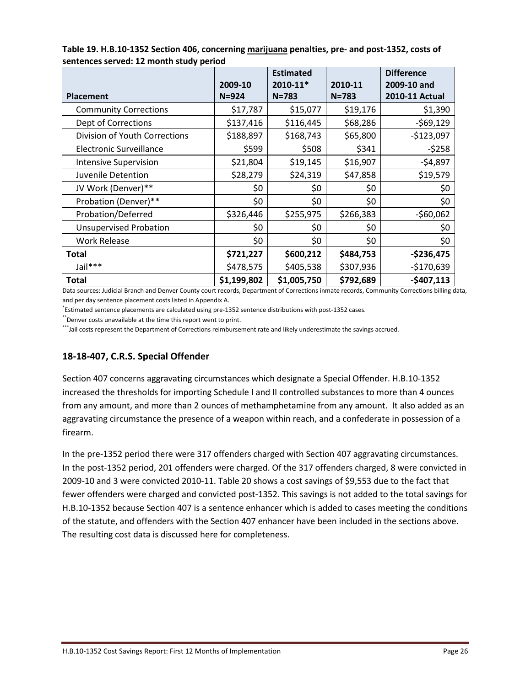|                               |                      | <b>Estimated</b>      |                      | <b>Difference</b>             |
|-------------------------------|----------------------|-----------------------|----------------------|-------------------------------|
| <b>Placement</b>              | 2009-10<br>$N = 924$ | 2010-11*<br>$N = 783$ | 2010-11<br>$N = 783$ | 2009-10 and<br>2010-11 Actual |
| <b>Community Corrections</b>  | \$17,787             | \$15,077              | \$19,176             | \$1,390                       |
| Dept of Corrections           | \$137,416            | \$116,445             | \$68,286             | $-569,129$                    |
| Division of Youth Corrections | \$188,897            | \$168,743             | \$65,800             | $-$123,097$                   |
| Electronic Surveillance       | \$599                | \$508                 | \$341                | $-5258$                       |
| <b>Intensive Supervision</b>  | \$21,804             | \$19,145              | \$16,907             | $-54,897$                     |
| Juvenile Detention            | \$28,279             | \$24,319              | \$47,858             | \$19,579                      |
| JV Work (Denver)**            | \$0                  | \$0                   | \$0                  | \$0                           |
| Probation (Denver)**          | \$0                  | \$0                   | \$0                  | \$0                           |
| Probation/Deferred            | \$326,446            | \$255,975             | \$266,383            | $-560,062$                    |
| <b>Unsupervised Probation</b> | \$0                  | \$0                   | \$0                  | \$0                           |
| <b>Work Release</b>           | \$0                  | \$0                   | \$0                  | \$0                           |
| Total                         | \$721,227            | \$600,212             | \$484,753            | $-$236,475$                   |
| Jail***                       | \$478,575            | \$405,538             | \$307,936            | $-$170,639$                   |
| Total                         | \$1,199,802          | \$1,005,750           | \$792,689            | $-$407,113$                   |

**Table 19. H.B.10-1352 Section 406, concerning marijuana penalties, pre- and post-1352, costs of sentences served: 12 month study period**

Data sources: Judicial Branch and Denver County court records, Department of Corrections inmate records, Community Corrections billing data, and per day sentence placement costs listed in Appendix A.

\* Estimated sentence placements are calculated using pre-1352 sentence distributions with post-1352 cases.

\*\*Denver costs unavailable at the time this report went to print.

\*\*\*Jail costs represent the Department of Corrections reimbursement rate and likely underestimate the savings accrued.

#### **18-18-407, C.R.S. Special Offender**

Section 407 concerns aggravating circumstances which designate a Special Offender. H.B.10-1352 increased the thresholds for importing Schedule I and II controlled substances to more than 4 ounces from any amount, and more than 2 ounces of methamphetamine from any amount. It also added as an aggravating circumstance the presence of a weapon within reach, and a confederate in possession of a firearm.

In the pre-1352 period there were 317 offenders charged with Section 407 aggravating circumstances. In the post-1352 period, 201 offenders were charged. Of the 317 offenders charged, 8 were convicted in 2009-10 and 3 were convicted 2010-11. Table 20 shows a cost savings of \$9,553 due to the fact that fewer offenders were charged and convicted post-1352. This savings is not added to the total savings for H.B.10-1352 because Section 407 is a sentence enhancer which is added to cases meeting the conditions of the statute, and offenders with the Section 407 enhancer have been included in the sections above. The resulting cost data is discussed here for completeness.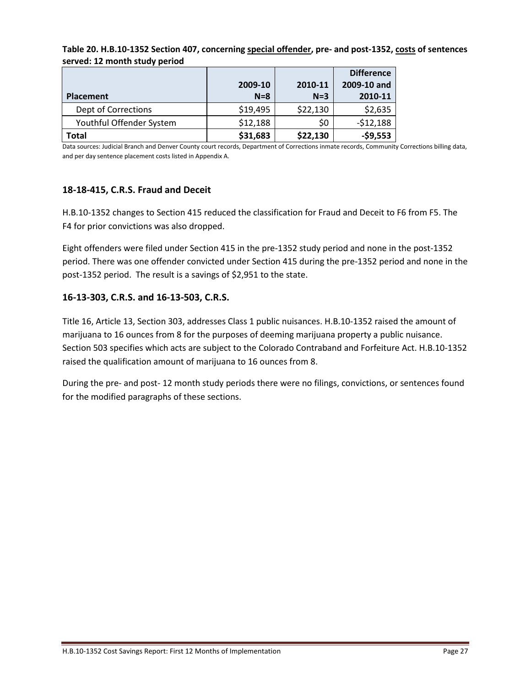|                          |          |          | <b>Difference</b> |
|--------------------------|----------|----------|-------------------|
|                          | 2009-10  | 2010-11  | 2009-10 and       |
| Placement                | $N=8$    | $N=3$    | 2010-11           |
| Dept of Corrections      | \$19,495 | \$22,130 | \$2,635           |
| Youthful Offender System | \$12,188 | \$0      | $-512,188$        |
| Total                    | \$31,683 | \$22,130 | $-59,553$         |

**Table 20. H.B.10-1352 Section 407, concerning special offender, pre- and post-1352, costs of sentences served: 12 month study period**

Data sources: Judicial Branch and Denver County court records, Department of Corrections inmate records, Community Corrections billing data, and per day sentence placement costs listed in Appendix A.

#### **18-18-415, C.R.S. Fraud and Deceit**

H.B.10-1352 changes to Section 415 reduced the classification for Fraud and Deceit to F6 from F5. The F4 for prior convictions was also dropped.

Eight offenders were filed under Section 415 in the pre-1352 study period and none in the post-1352 period. There was one offender convicted under Section 415 during the pre-1352 period and none in the post-1352 period. The result is a savings of \$2,951 to the state.

#### **16-13-303, C.R.S. and 16-13-503, C.R.S.**

Title 16, Article 13, Section 303, addresses Class 1 public nuisances. H.B.10-1352 raised the amount of marijuana to 16 ounces from 8 for the purposes of deeming marijuana property a public nuisance. Section 503 specifies which acts are subject to the Colorado Contraband and Forfeiture Act. H.B.10-1352 raised the qualification amount of marijuana to 16 ounces from 8.

During the pre- and post- 12 month study periods there were no filings, convictions, or sentences found for the modified paragraphs of these sections.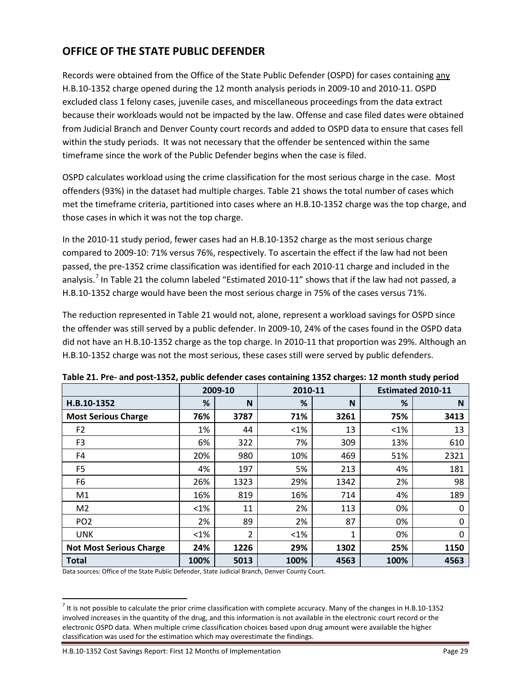## **OFFICE OF THE STATE PUBLIC DEFENDER**

Records were obtained from the Office of the State Public Defender (OSPD) for cases containing any H.B.10-1352 charge opened during the 12 month analysis periods in 2009-10 and 2010-11. OSPD excluded class 1 felony cases, juvenile cases, and miscellaneous proceedings from the data extract because their workloads would not be impacted by the law. Offense and case filed dates were obtained from Judicial Branch and Denver County court records and added to OSPD data to ensure that cases fell within the study periods. It was not necessary that the offender be sentenced within the same timeframe since the work of the Public Defender begins when the case is filed.

OSPD calculates workload using the crime classification for the most serious charge in the case. Most offenders (93%) in the dataset had multiple charges. Table 21 shows the total number of cases which met the timeframe criteria, partitioned into cases where an H.B.10-1352 charge was the top charge, and those cases in which it was not the top charge.

In the 2010-11 study period, fewer cases had an H.B.10-1352 charge as the most serious charge compared to 2009-10: 71% versus 76%, respectively. To ascertain the effect if the law had not been passed, the pre-1352 crime classification was identified for each 2010-11 charge and included in the analysis.<sup>[7](#page-11-0)</sup> In Table 21 the column labeled "Estimated 2010-11" shows that if the law had not passed, a H.B.10-1352 charge would have been the most serious charge in 75% of the cases versus 71%.

The reduction represented in Table 21 would not, alone, represent a workload savings for OSPD since the offender was still served by a public defender. In 2009-10, 24% of the cases found in the OSPD data did not have an H.B.10-1352 charge as the top charge. In 2010-11 that proportion was 29%. Although an H.B.10-1352 charge was not the most serious, these cases still were served by public defenders.

|                                | 2009-10 |                | 2010-11 |      | <b>Estimated 2010-11</b> |      |
|--------------------------------|---------|----------------|---------|------|--------------------------|------|
| H.B.10-1352                    | %       | N              | %       | N    | %                        | N    |
| <b>Most Serious Charge</b>     | 76%     | 3787           | 71%     | 3261 | 75%                      | 3413 |
| F <sub>2</sub>                 | 1%      | 44             | $< 1\%$ | 13   | $< 1\%$                  | 13   |
| F <sub>3</sub>                 | 6%      | 322            | 7%      | 309  | 13%                      | 610  |
| F4                             | 20%     | 980            | 10%     | 469  | 51%                      | 2321 |
| F <sub>5</sub>                 | 4%      | 197            | 5%      | 213  | 4%                       | 181  |
| F6                             | 26%     | 1323           | 29%     | 1342 | 2%                       | 98   |
| M1                             | 16%     | 819            | 16%     | 714  | 4%                       | 189  |
| M <sub>2</sub>                 | $< 1\%$ | 11             | 2%      | 113  | 0%                       | 0    |
| PO <sub>2</sub>                | 2%      | 89             | 2%      | 87   | 0%                       | 0    |
| <b>UNK</b>                     | $< 1\%$ | $\overline{2}$ | $< 1\%$ | 1    | 0%                       | 0    |
| <b>Not Most Serious Charge</b> | 24%     | 1226           | 29%     | 1302 | 25%                      | 1150 |
| <b>Total</b>                   | 100%    | 5013           | 100%    | 4563 | 100%                     | 4563 |

**Table 21. Pre- and post-1352, public defender cases containing 1352 charges: 12 month study period**

Data sources: Office of the State Public Defender, State Judicial Branch, Denver County Court.

 $^7$  It is not possible to calculate the prior crime classification with complete accuracy. Many of the changes in H.B.10-1352 involved increases in the quantity of the drug, and this information is not available in the electronic court record or the electronic OSPD data. When multiple crime classification choices based upon drug amount were available the higher classification was used for the estimation which may overestimate the findings.

H.B.10-1352 Cost Savings Report: First 12 Months of Implementation Page 29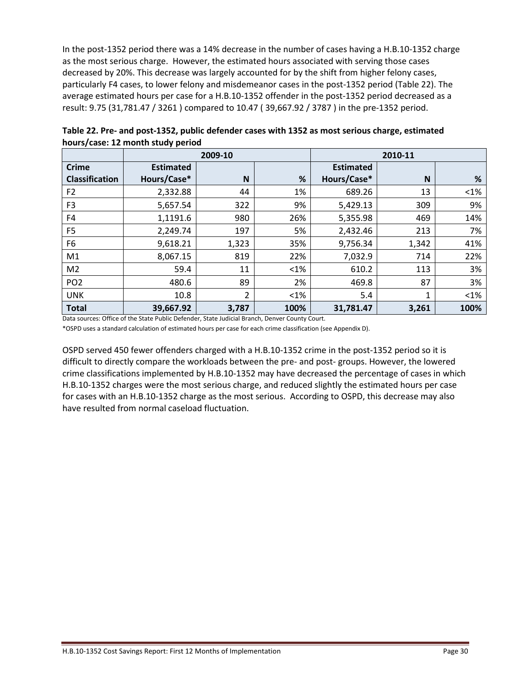In the post-1352 period there was a 14% decrease in the number of cases having a H.B.10-1352 charge as the most serious charge. However, the estimated hours associated with serving those cases decreased by 20%. This decrease was largely accounted for by the shift from higher felony cases, particularly F4 cases, to lower felony and misdemeanor cases in the post-1352 period (Table 22). The average estimated hours per case for a H.B.10-1352 offender in the post-1352 period decreased as a result: 9.75 (31,781.47 / 3261 ) compared to 10.47 ( 39,667.92 / 3787 ) in the pre-1352 period.

|                       | 2009-10          |       |        |                  | 2010-11     |        |
|-----------------------|------------------|-------|--------|------------------|-------------|--------|
| <b>Crime</b>          | <b>Estimated</b> |       |        | <b>Estimated</b> |             |        |
| <b>Classification</b> | Hours/Case*      | N     | %      | Hours/Case*      | N           | %      |
| F <sub>2</sub>        | 2,332.88         | 44    | 1%     | 689.26           | 13          | $<$ 1% |
| F <sub>3</sub>        | 5,657.54         | 322   | 9%     | 5,429.13         | 309         | 9%     |
| F4                    | 1,1191.6         | 980   | 26%    | 5,355.98         | 469         | 14%    |
| F <sub>5</sub>        | 2,249.74         | 197   | 5%     | 2,432.46         | 213         | 7%     |
| F <sub>6</sub>        | 9,618.21         | 1,323 | 35%    | 9,756.34         | 1,342       | 41%    |
| M1                    | 8,067.15         | 819   | 22%    | 7,032.9          | 714         | 22%    |
| M <sub>2</sub>        | 59.4             | 11    | $<$ 1% | 610.2            | 113         | 3%     |
| PO <sub>2</sub>       | 480.6            | 89    | 2%     | 469.8            | 87          | 3%     |
| <b>UNK</b>            | 10.8             | 2     | $<$ 1% | 5.4              | $\mathbf 1$ | $<$ 1% |
| <b>Total</b>          | 39,667.92        | 3,787 | 100%   | 31,781.47        | 3,261       | 100%   |

**Table 22. Pre- and post-1352, public defender cases with 1352 as most serious charge, estimated hours/case: 12 month study period**

Data sources: Office of the State Public Defender, State Judicial Branch, Denver County Court.

\*OSPD uses a standard calculation of estimated hours per case for each crime classification (see Appendix D).

OSPD served 450 fewer offenders charged with a H.B.10-1352 crime in the post-1352 period so it is difficult to directly compare the workloads between the pre- and post- groups. However, the lowered crime classifications implemented by H.B.10-1352 may have decreased the percentage of cases in which H.B.10-1352 charges were the most serious charge, and reduced slightly the estimated hours per case for cases with an H.B.10-1352 charge as the most serious. According to OSPD, this decrease may also have resulted from normal caseload fluctuation.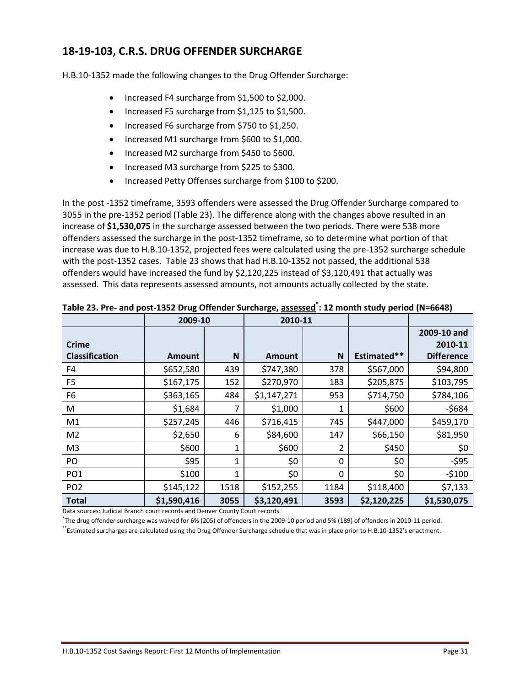## **18-19-103, C.R.S. DRUG OFFENDER SURCHARGE**

H.B.10-1352 made the following changes to the Drug Offender Surcharge:

- Increased F4 surcharge from \$1,500 to \$2,000.
- Increased F5 surcharge from \$1,125 to \$1,500.
- Increased F6 surcharge from \$750 to \$1,250.
- Increased M1 surcharge from \$600 to \$1,000.
- Increased M2 surcharge from \$450 to \$600.
- Increased M3 surcharge from \$225 to \$300.
- Increased Petty Offenses surcharge from \$100 to \$200.

In the post -1352 timeframe, 3593 offenders were assessed the Drug Offender Surcharge compared to 3055 in the pre-1352 period (Table 23). The difference along with the changes above resulted in an increase of **\$1,530,075** in the surcharge assessed between the two periods. There were 538 more offenders assessed the surcharge in the post-1352 timeframe, so to determine what portion of that increase was due to H.B.10-1352, projected fees were calculated using the pre-1352 surcharge schedule with the post-1352 cases. Table 23 shows that had H.B.10-1352 not passed, the additional 538 offenders would have increased the fund by \$2,120,225 instead of \$3,120,491 that actually was assessed. This data represents assessed amounts, not amounts actually collected by the state.

|                       | 2009-10       |              | 2010-11       |          |             |                   |
|-----------------------|---------------|--------------|---------------|----------|-------------|-------------------|
|                       |               |              |               |          |             | 2009-10 and       |
| <b>Crime</b>          |               |              |               |          |             | 2010-11           |
| <b>Classification</b> | <b>Amount</b> | N            | <b>Amount</b> | N        | Estimated** | <b>Difference</b> |
| F4                    | \$652,580     | 439          | \$747,380     | 378      | \$567,000   | \$94,800          |
| F <sub>5</sub>        | \$167,175     | 152          | \$270,970     | 183      | \$205,875   | \$103,795         |
| F <sub>6</sub>        | \$363,165     | 484          | \$1,147,271   | 953      | \$714,750   | \$784,106         |
| M                     | \$1,684       | 7            | \$1,000       | 1        | \$600       | $-5684$           |
| M1                    | \$257,245     | 446          | \$716,415     | 745      | \$447,000   | \$459,170         |
| M <sub>2</sub>        | \$2,650       | 6            | \$84,600      | 147      | \$66,150    | \$81,950          |
| M <sub>3</sub>        | \$600         | 1            | \$600         | 2        | \$450       | \$0               |
| PO                    | \$95          | $\mathbf{1}$ | \$0           | 0        | \$0         | $-595$            |
| PO <sub>1</sub>       | \$100         | $\mathbf{1}$ | \$0           | $\Omega$ | \$0         | $-5100$           |
| PO <sub>2</sub>       | \$145,122     | 1518         | \$152,255     | 1184     | \$118,400   | \$7,133           |
| <b>Total</b>          | \$1,590,416   | 3055         | \$3,120,491   | 3593     | \$2,120,225 | \$1,530,075       |

**Table 23. Pre- and post-1352 Drug Offender Surcharge, assessed\* : 12 month study period (N=6648)**

Data sources: Judicial Branch court records and Denver County Court records.

\* The drug offender surcharge was waived for 6% (205) of offenders in the 2009-10 period and 5% (189) of offenders in 2010-11 period.

\*\*Estimated surcharges are calculated using the Drug Offender Surcharge schedule that was in place prior to H.B.10-1352's enactment.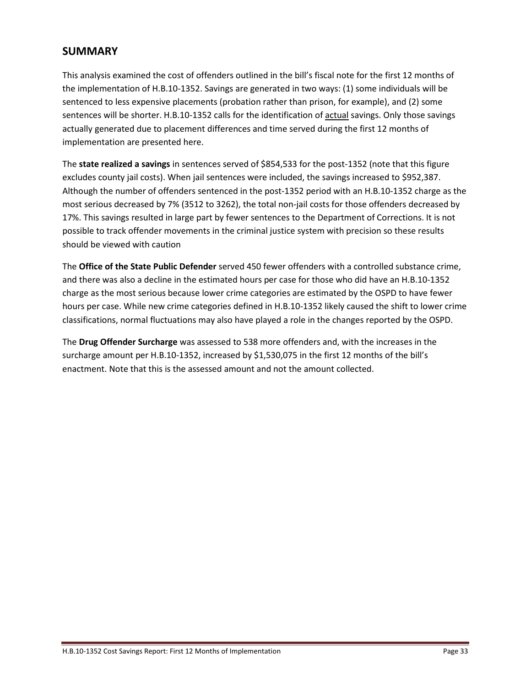## **SUMMARY**

This analysis examined the cost of offenders outlined in the bill's fiscal note for the first 12 months of the implementation of H.B.10-1352. Savings are generated in two ways: (1) some individuals will be sentenced to less expensive placements (probation rather than prison, for example), and (2) some sentences will be shorter. H.B.10-1352 calls for the identification of actual savings. Only those savings actually generated due to placement differences and time served during the first 12 months of implementation are presented here.

The **state realized a savings** in sentences served of \$854,533 for the post-1352 (note that this figure excludes county jail costs). When jail sentences were included, the savings increased to \$952,387. Although the number of offenders sentenced in the post-1352 period with an H.B.10-1352 charge as the most serious decreased by 7% (3512 to 3262), the total non-jail costs for those offenders decreased by 17%. This savings resulted in large part by fewer sentences to the Department of Corrections. It is not possible to track offender movements in the criminal justice system with precision so these results should be viewed with caution

The **Office of the State Public Defender** served 450 fewer offenders with a controlled substance crime, and there was also a decline in the estimated hours per case for those who did have an H.B.10-1352 charge as the most serious because lower crime categories are estimated by the OSPD to have fewer hours per case. While new crime categories defined in H.B.10-1352 likely caused the shift to lower crime classifications, normal fluctuations may also have played a role in the changes reported by the OSPD.

The **Drug Offender Surcharge** was assessed to 538 more offenders and, with the increases in the surcharge amount per H.B.10-1352, increased by \$1,530,075 in the first 12 months of the bill's enactment. Note that this is the assessed amount and not the amount collected.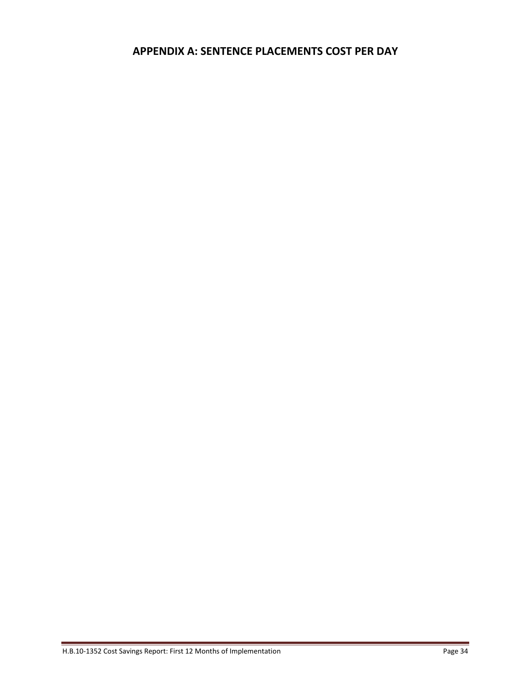## **APPENDIX A: SENTENCE PLACEMENTS COST PER DAY**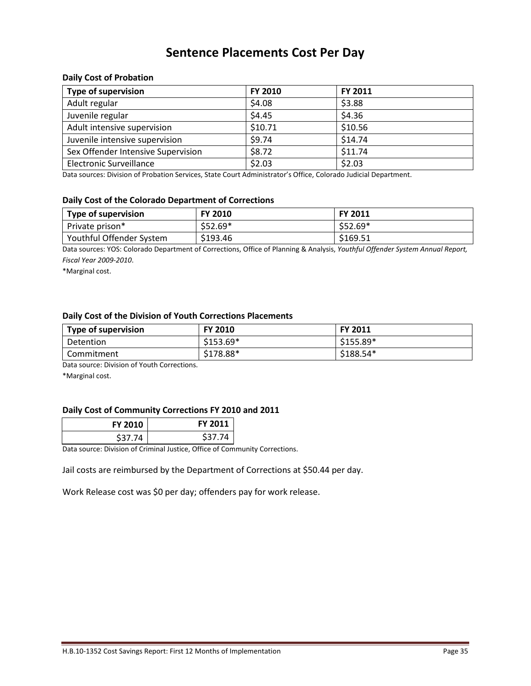## **Sentence Placements Cost Per Day**

#### **Daily Cost of Probation**

| <b>Type of supervision</b>         | FY 2010 | FY 2011 |  |
|------------------------------------|---------|---------|--|
| Adult regular                      | \$4.08  | \$3.88  |  |
| Juvenile regular                   | \$4.45  | \$4.36  |  |
| Adult intensive supervision        | \$10.71 | \$10.56 |  |
| Juvenile intensive supervision     | \$9.74  | \$14.74 |  |
| Sex Offender Intensive Supervision | \$8.72  | \$11.74 |  |
| <b>Electronic Surveillance</b>     | \$2.03  | \$2.03  |  |

Data sources: Division of Probation Services, State Court Administrator's Office, Colorado Judicial Department.

#### **Daily Cost of the Colorado Department of Corrections**

| Type of supervision      | <b>FY 2010</b> | <b>FY 2011</b> |
|--------------------------|----------------|----------------|
| Private prison*          | $$52.69*$      | $$52.69*$      |
| Youthful Offender System | \$193.46       | \$169.51       |

Data sources: YOS: Colorado Department of Corrections, Office of Planning & Analysis, *Youthful Offender System Annual Report, Fiscal Year 2009-2010*.

\*Marginal cost.

#### **Daily Cost of the Division of Youth Corrections Placements**

| Type of supervision | <b>FY 2010</b> | <b>FY 2011</b> |
|---------------------|----------------|----------------|
| Detention           | $$153.69*$     | $$155.89*$     |
| Commitment          | \$178.88*      | $$188.54*$     |

Data source: Division of Youth Corrections.

\*Marginal cost.

#### **Daily Cost of Community Corrections FY 2010 and 2011**

| <b>FY 2010</b>     | <b>FY 2011</b> |
|--------------------|----------------|
| S <sub>37.74</sub> | S37.74         |

Data source: Division of Criminal Justice, Office of Community Corrections.

Jail costs are reimbursed by the Department of Corrections at \$50.44 per day.

Work Release cost was \$0 per day; offenders pay for work release.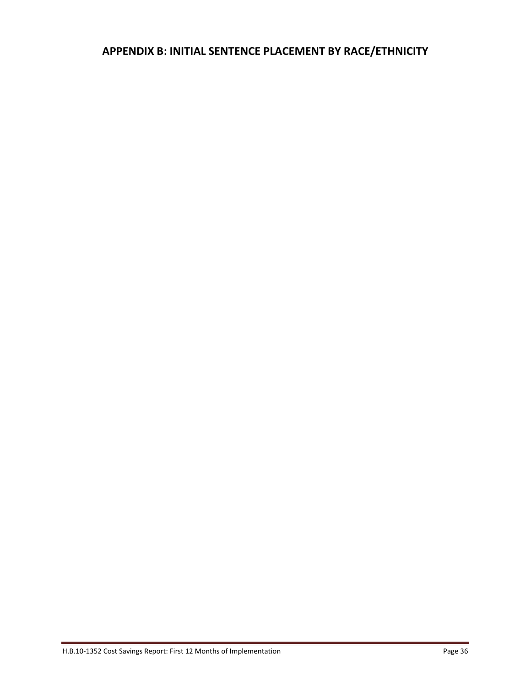## **APPENDIX B: INITIAL SENTENCE PLACEMENT BY RACE/ETHNICITY**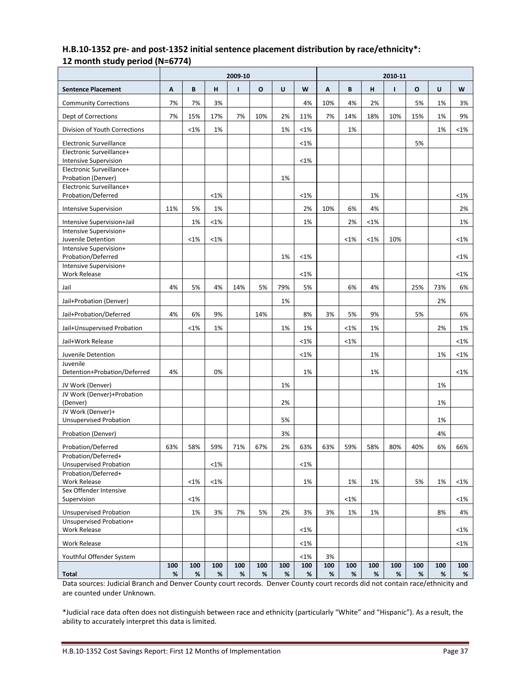#### **H.B.10-1352 pre- and post-1352 initial sentence placement distribution by race/ethnicity\*: 12 month study period (N=6774)**

|                                                          | 2009-10     |             |             |             |          |          | 2010-11  |          |               |             |             |             |             |               |
|----------------------------------------------------------|-------------|-------------|-------------|-------------|----------|----------|----------|----------|---------------|-------------|-------------|-------------|-------------|---------------|
| <b>Sentence Placement</b>                                | Α           | B           | н           | ı           | O        | U        | W        | A        | B             | н           | ı           | O           | U           | W             |
| <b>Community Corrections</b>                             | 7%          | 7%          | 3%          |             |          |          | 4%       | 10%      | 4%            | 2%          |             | 5%          | 1%          | 3%            |
| Dept of Corrections                                      | 7%          | 15%         | 17%         | 7%          | 10%      | 2%       | 11%      | 7%       | 14%           | 18%         | 10%         | 15%         | 1%          | 9%            |
| Division of Youth Corrections                            |             | $< 1\%$     | 1%          |             |          | 1%       | $< 1\%$  |          | 1%            |             |             |             | 1%          | $< 1\%$       |
| Electronic Surveillance                                  |             |             |             |             |          |          | <1%      |          |               |             |             | 5%          |             |               |
| Electronic Surveillance+                                 |             |             |             |             |          |          | <1%      |          |               |             |             |             |             |               |
| <b>Intensive Supervision</b><br>Electronic Surveillance+ |             |             |             |             |          |          |          |          |               |             |             |             |             |               |
| Probation (Denver)                                       |             |             |             |             |          | 1%       |          |          |               |             |             |             |             |               |
| Electronic Surveillance+<br>Probation/Deferred           |             |             | <1%         |             |          |          | $< 1\%$  |          |               | 1%          |             |             |             | $< 1\%$       |
| Intensive Supervision                                    | 11%         | 5%          | 1%          |             |          |          | 2%       | 10%      | 6%            | 4%          |             |             |             | 2%            |
| Intensive Supervision+Jail                               |             | 1%          | $< 1\%$     |             |          |          | 1%       |          | 2%            | <1%         |             |             |             | 1%            |
| Intensive Supervision+                                   |             |             |             |             |          |          |          |          |               |             |             |             |             |               |
| Juvenile Detention<br>Intensive Supervision+             |             | $< 1\%$     | <1%         |             |          |          |          |          | $< 1\%$       | <1%         | 10%         |             |             | $< 1\%$       |
| Probation/Deferred                                       |             |             |             |             |          | 1%       | <1%      |          |               |             |             |             |             | $< 1\%$       |
| Intensive Supervision+<br><b>Work Release</b>            |             |             |             |             |          |          | <1%      |          |               |             |             |             |             | $< 1\%$       |
| Jail                                                     | 4%          | 5%          | 4%          | 14%         | 5%       | 79%      | 5%       |          | 6%            | 4%          |             | 25%         | 73%         | 6%            |
| Jail+Probation (Denver)                                  |             |             |             |             |          | 1%       |          |          |               |             |             |             | 2%          |               |
| Jail+Probation/Deferred                                  | 4%          | 6%          | 9%          |             | 14%      |          | 8%       | 3%       | 5%            | 9%          |             | 5%          |             | 6%            |
| Jail+Unsupervised Probation                              |             | $< 1\%$     | 1%          |             |          | 1%       | 1%       |          | $< 1\%$       | 1%          |             |             | 2%          | 1%            |
| Jail+Work Release                                        |             |             |             |             |          |          | <1%      |          | $< 1\%$       |             |             |             |             | $<$ 1%        |
| Juvenile Detention                                       |             |             |             |             |          |          | $< 1\%$  |          |               | 1%          |             |             | 1%          | $<$ 1%        |
| Juvenile<br>Detention+Probation/Deferred                 | 4%          |             | 0%          |             |          |          | 1%       |          |               | 1%          |             |             |             | $< 1\%$       |
| JV Work (Denver)                                         |             |             |             |             |          | 1%       |          |          |               |             |             |             | 1%          |               |
| JV Work (Denver)+Probation                               |             |             |             |             |          |          |          |          |               |             |             |             |             |               |
| (Denver)                                                 |             |             |             |             |          | 2%       |          |          |               |             |             |             | 1%          |               |
| JV Work (Denver)+<br><b>Unsupervised Probation</b>       |             |             |             |             |          | 5%       |          |          |               |             |             |             | 1%          |               |
| Probation (Denver)                                       |             |             |             |             |          | 3%       |          |          |               |             |             |             | 4%          |               |
| Probation/Deferred                                       | 63%         | 58%         | 59%         | 71%         | 67%      | 2%       | 63%      | 63%      | 59%           | 58%         | 80%         | 40%         | 6%          | 66%           |
| Probation/Deferred+                                      |             |             |             |             |          |          |          |          |               |             |             |             |             |               |
| <b>Unsupervised Probation</b><br>Probation/Deferred+     |             |             | <1%         |             |          |          | $<1\%$   |          |               |             |             |             |             |               |
| Work Release                                             |             | $< 1\%$     | $<1\%$      |             |          |          | 1%       |          | 1%            | 1%          |             | 5%          | 1%          | $< 1\%$       |
| Sex Offender Intensive                                   |             |             |             |             |          |          |          |          |               |             |             |             |             |               |
| Supervision                                              |             | <1%<br>1%   | 3%          | 7%          | 5%       | 2%       | 3%       | 3%       | $< 1\%$<br>1% | 1%          |             |             | 8%          | $< 1\%$<br>4% |
| <b>Unsupervised Probation</b><br>Unsupervised Probation+ |             |             |             |             |          |          |          |          |               |             |             |             |             |               |
| Work Release                                             |             |             |             |             |          |          | $< 1\%$  |          |               |             |             |             |             | $<$ 1%        |
| <b>Work Release</b>                                      |             |             |             |             |          |          | $< 1\%$  |          |               |             |             |             |             | $< 1\%$       |
| Youthful Offender System                                 |             |             |             |             |          |          | $< 1\%$  | 3%       |               |             |             |             |             |               |
| <b>Total</b>                                             | 100<br>$\%$ | 100<br>$\%$ | 100<br>$\%$ | 100<br>$\%$ | 100<br>% | 100<br>% | 100<br>% | 100<br>% | 100<br>%      | 100<br>$\%$ | 100<br>$\%$ | 100<br>$\%$ | 100<br>$\%$ | 100<br>%      |

Data sources: Judicial Branch and Denver County court records. Denver County court records did not contain race/ethnicity and are counted under Unknown.

\*Judicial race data often does not distinguish between race and ethnicity (particularly "White" and "Hispanic"). As a result, the ability to accurately interpret this data is limited.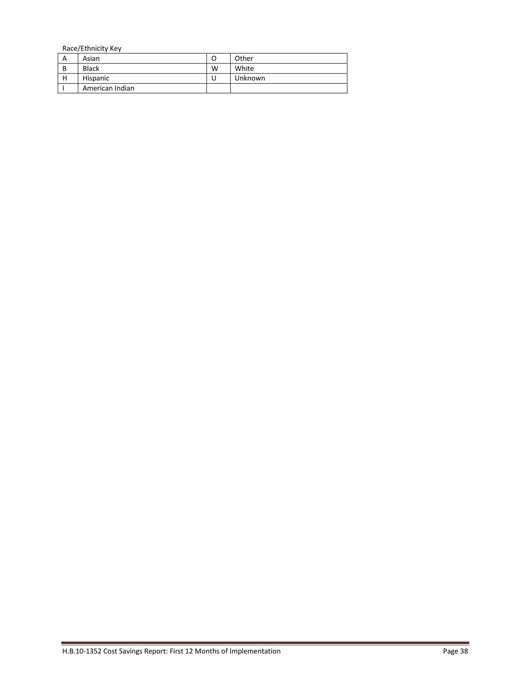Race/Ethnicity Key<br>A Asian A Asian O Other<br>B Black W White B Black W White<br>
H Hispanic U Unkno Unknown I American Indian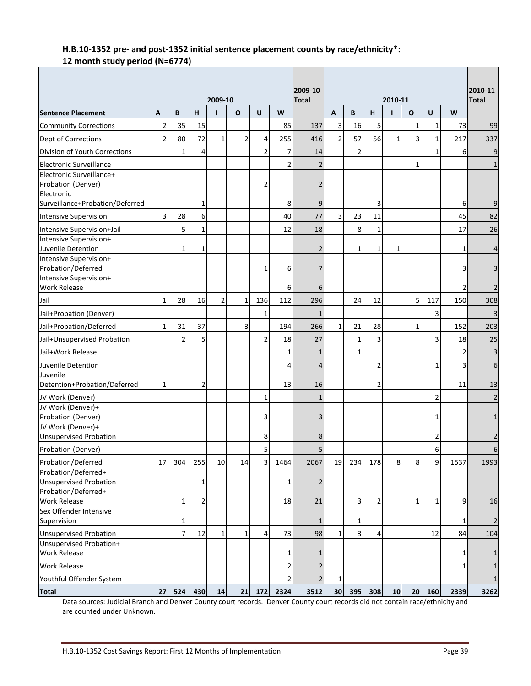#### **H.B.10-1352 pre- and post-1352 initial sentence placement counts by race/ethnicity\*: 12 month study period (N=6774)**

|                                                |                         |                |                |                |                |                |                         | 2009-10        |                |     |                |                         |              |                | 2010-11        |                |
|------------------------------------------------|-------------------------|----------------|----------------|----------------|----------------|----------------|-------------------------|----------------|----------------|-----|----------------|-------------------------|--------------|----------------|----------------|----------------|
| <b>Sentence Placement</b>                      | A                       | B              | н              | 2009-10        | $\mathbf{o}$   | U              | W                       | <b>Total</b>   | A              | B   | H              | 2010-11<br>$\mathbf{I}$ | $\mathbf{o}$ | $\mathsf{U}$   | W              | <b>Total</b>   |
| <b>Community Corrections</b>                   | $\overline{\mathbf{c}}$ | 35             | 15             |                |                |                | 85                      | 137            | 3              | 16  | 5              |                         | $\mathbf{1}$ | $\mathbf{1}$   | 73             | 99             |
| Dept of Corrections                            | $\overline{2}$          | 80             | 72             | $\mathbf{1}$   | $\overline{c}$ | 4              | 255                     | 416            | $\overline{2}$ | 57  | 56             | $\mathbf{1}$            | 3            | $\mathbf{1}$   | 217            | 337            |
|                                                |                         |                |                |                |                |                |                         |                |                |     |                |                         |              |                |                |                |
| Division of Youth Corrections                  |                         | $\mathbf{1}$   | 4              |                |                | $\overline{2}$ | 7                       | 14             |                | 2   |                |                         |              | $\mathbf{1}$   | 6              | 9              |
| Electronic Surveillance                        |                         |                |                |                |                |                | $\overline{\mathbf{c}}$ | $\overline{2}$ |                |     |                |                         | 1            |                |                | 1              |
| Electronic Surveillance+<br>Probation (Denver) |                         |                |                |                |                | $\overline{2}$ |                         | $\overline{2}$ |                |     |                |                         |              |                |                |                |
| Electronic                                     |                         |                |                |                |                |                |                         |                |                |     |                |                         |              |                |                |                |
| Surveillance+Probation/Deferred                |                         |                | 1              |                |                |                | 8                       | 9              |                |     | 3              |                         |              |                | 6              | 9              |
| <b>Intensive Supervision</b>                   | 3                       | 28             | 6              |                |                |                | 40                      | 77             | $\overline{3}$ | 23  | 11             |                         |              |                | 45             | 82             |
| Intensive Supervision+Jail                     |                         | 5              | $\mathbf{1}$   |                |                |                | 12                      | 18             |                | 8   | $\mathbf{1}$   |                         |              |                | 17             | 26             |
| Intensive Supervision+                         |                         |                |                |                |                |                |                         |                |                |     |                |                         |              |                |                |                |
| Juvenile Detention                             |                         | 1              | $\mathbf{1}$   |                |                |                |                         | $\overline{2}$ |                | 1   | 1              | 1                       |              |                | $\mathbf{1}$   | 4              |
| Intensive Supervision+                         |                         |                |                |                |                |                |                         |                |                |     |                |                         |              |                |                |                |
| Probation/Deferred                             |                         |                |                |                |                | 1              | 6                       | 7              |                |     |                |                         |              |                | 3              | 3              |
| Intensive Supervision+                         |                         |                |                |                |                |                |                         |                |                |     |                |                         |              |                |                |                |
| <b>Work Release</b>                            |                         |                |                |                |                |                | 6                       | 6              |                |     |                |                         |              |                | $\overline{2}$ | 2              |
| Jail                                           | $\mathbf{1}$            | 28             | 16             | $\overline{2}$ | $\mathbf{1}$   | 136            | 112                     | 296            |                | 24  | 12             |                         | 5            | 117            | 150            | 308            |
| Jail+Probation (Denver)                        |                         |                |                |                |                | 1              |                         | $\mathbf{1}$   |                |     |                |                         |              | 3              |                |                |
| Jail+Probation/Deferred                        | 1                       | 31             | 37             |                | 3              |                | 194                     | 266            | $\mathbf{1}$   | 21  | 28             |                         | $\mathbf{1}$ |                | 152            | 203            |
| Jail+Unsupervised Probation                    |                         | $\overline{2}$ | 5              |                |                | $\overline{2}$ | 18                      | 27             |                | 1   | 3              |                         |              | 3              | 18             | 25             |
| Jail+Work Release                              |                         |                |                |                |                |                | 1                       | $\mathbf{1}$   |                | 1   |                |                         |              |                | $\overline{2}$ | 3              |
| Juvenile Detention                             |                         |                |                |                |                |                | 4                       | $\overline{4}$ |                |     | $\overline{2}$ |                         |              | $\mathbf{1}$   | 3              | 6              |
| Juvenile                                       |                         |                |                |                |                |                |                         |                |                |     |                |                         |              |                |                |                |
| Detention+Probation/Deferred                   | 1                       |                | $\overline{2}$ |                |                |                | 13                      | 16             |                |     | $\overline{2}$ |                         |              |                | 11             | 13             |
| JV Work (Denver)                               |                         |                |                |                |                | $\mathbf{1}$   |                         | $\mathbf{1}$   |                |     |                |                         |              | $\overline{2}$ |                | 2              |
| JV Work (Denver)+                              |                         |                |                |                |                |                |                         |                |                |     |                |                         |              |                |                |                |
| Probation (Denver)<br>JV Work (Denver)+        |                         |                |                |                |                | 3              |                         | 3              |                |     |                |                         |              | 1              |                | 1              |
| <b>Unsupervised Probation</b>                  |                         |                |                |                |                | 8              |                         | 8              |                |     |                |                         |              | $\overline{2}$ |                | 2              |
| Probation (Denver)                             |                         |                |                |                |                |                |                         |                |                |     |                |                         |              | 6              |                |                |
|                                                |                         |                |                |                |                | 5              |                         | 5              |                |     |                |                         |              |                |                | 6              |
| Probation/Deferred<br>Probation/Deferred+      | 17                      | 304            | 255            | 10             | 14             | $\overline{3}$ | 1464                    | 2067           | 19             | 234 | 178            | 8                       | 8            | 9              | 1537           | 1993           |
| <b>Unsupervised Probation</b>                  |                         |                | $\mathbf{1}$   |                |                |                | 1                       | 2              |                |     |                |                         |              |                |                |                |
| Probation/Deferred+                            |                         |                |                |                |                |                |                         |                |                |     |                |                         |              |                |                |                |
| <b>Work Release</b>                            |                         | 1              | $\overline{2}$ |                |                |                | 18                      | 21             |                | 3   | 2              |                         | $\mathbf{1}$ | 1              | 9              | 16             |
| Sex Offender Intensive                         |                         |                |                |                |                |                |                         |                |                |     |                |                         |              |                |                |                |
| Supervision                                    |                         | 1              |                |                |                |                |                         | 1              |                | 1   |                |                         |              |                | 1              | $\overline{2}$ |
| <b>Unsupervised Probation</b>                  |                         | $\overline{7}$ | 12             | $\mathbf{1}$   | $\mathbf{1}$   | 4              | 73                      | 98             | $\mathbf{1}$   | 3   | 4              |                         |              | 12             | 84             | 104            |
| Unsupervised Probation+                        |                         |                |                |                |                |                |                         |                |                |     |                |                         |              |                |                |                |
| <b>Work Release</b>                            |                         |                |                |                |                |                | 1                       | 1              |                |     |                |                         |              |                | 1              | $\mathbf{1}$   |
| <b>Work Release</b>                            |                         |                |                |                |                |                | $\overline{2}$          | $\overline{2}$ |                |     |                |                         |              |                | $1\vert$       | $\mathbf{1}$   |
| Youthful Offender System                       |                         |                |                |                |                |                | $\overline{2}$          | $\overline{2}$ | 1              |     |                |                         |              |                |                | $\mathbf{1}$   |
| <b>Total</b>                                   | 27                      | 524            | 430            | 14             | 21             | 172            | 2324                    | 3512           | 30             | 395 | 308            | 10                      | 20           | 160            | 2339           | 3262           |

Data sources: Judicial Branch and Denver County court records. Denver County court records did not contain race/ethnicity and are counted under Unknown.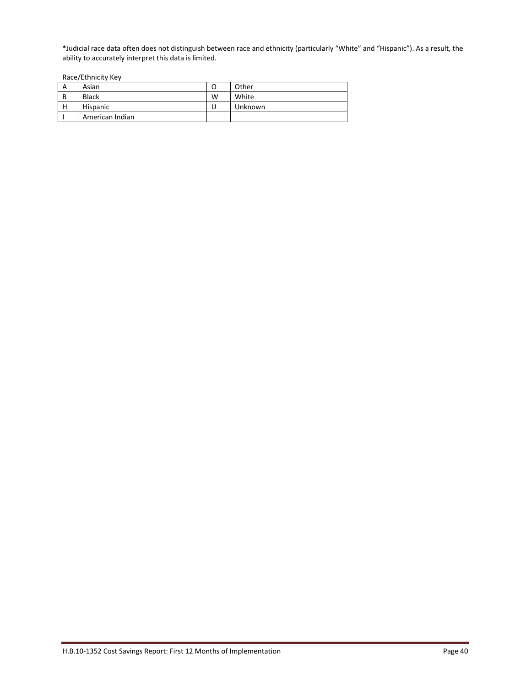\*Judicial race data often does not distinguish between race and ethnicity (particularly "White" and "Hispanic"). As a result, the ability to accurately interpret this data is limited.

Race/Ethnicity Key

| А | Asian           | O | Other   |
|---|-----------------|---|---------|
| B | <b>Black</b>    | W | White   |
| н | Hispanic        | u | Unknown |
|   | American Indian |   |         |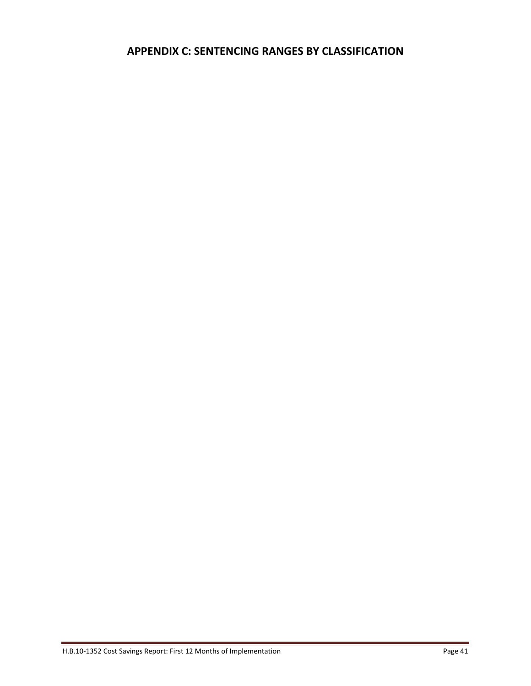## **APPENDIX C: SENTENCING RANGES BY CLASSIFICATION**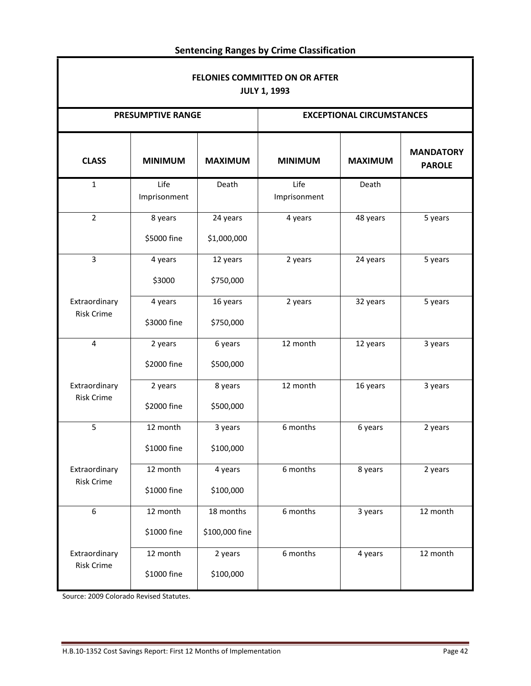| FELONIES COMMITTED ON OR AFTER<br><b>JULY 1, 1993</b> |                          |                             |                                  |                |                                   |  |  |  |  |
|-------------------------------------------------------|--------------------------|-----------------------------|----------------------------------|----------------|-----------------------------------|--|--|--|--|
|                                                       | <b>PRESUMPTIVE RANGE</b> |                             | <b>EXCEPTIONAL CIRCUMSTANCES</b> |                |                                   |  |  |  |  |
| <b>CLASS</b>                                          | <b>MINIMUM</b>           | <b>MAXIMUM</b>              | <b>MINIMUM</b>                   | <b>MAXIMUM</b> | <b>MANDATORY</b><br><b>PAROLE</b> |  |  |  |  |
| $\mathbf{1}$                                          | Life<br>Imprisonment     | Death                       | Life<br>Imprisonment             | Death          |                                   |  |  |  |  |
| $\overline{2}$                                        | 8 years<br>\$5000 fine   | 24 years<br>\$1,000,000     | 4 years                          | 48 years       | 5 years                           |  |  |  |  |
| 3                                                     | 4 years<br>\$3000        | 12 years<br>\$750,000       | 2 years                          | 24 years       | 5 years                           |  |  |  |  |
| Extraordinary<br><b>Risk Crime</b>                    | 4 years<br>\$3000 fine   | 16 years<br>\$750,000       | 2 years                          | 32 years       | 5 years                           |  |  |  |  |
| 4                                                     | 2 years<br>\$2000 fine   | 6 years<br>\$500,000        | 12 month                         | 12 years       | 3 years                           |  |  |  |  |
| Extraordinary<br><b>Risk Crime</b>                    | 2 years<br>\$2000 fine   | 8 years<br>\$500,000        | 12 month                         | 16 years       | 3 years                           |  |  |  |  |
| 5                                                     | 12 month<br>\$1000 fine  | 3 years<br>\$100,000        | 6 months                         | 6 years        | 2 years                           |  |  |  |  |
| Extraordinary<br><b>Risk Crime</b>                    | 12 month<br>\$1000 fine  | 4 years<br>\$100,000        | 6 months                         | 8 years        | 2 years                           |  |  |  |  |
| 6                                                     | 12 month<br>\$1000 fine  | 18 months<br>\$100,000 fine | 6 months                         | 3 years        | 12 month                          |  |  |  |  |
| Extraordinary<br><b>Risk Crime</b>                    | 12 month<br>\$1000 fine  | 2 years<br>\$100,000        | 6 months                         | 4 years        | 12 month                          |  |  |  |  |

## **Sentencing Ranges by Crime Classification**

Source: 2009 Colorado Revised Statutes.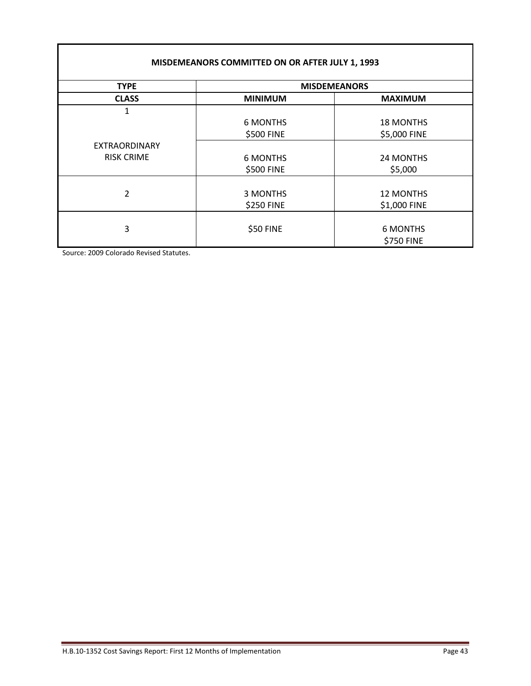|                   | MISDEMEANORS COMMITTED ON OR AFTER JULY 1, 1993 |                  |  |  |  |  |
|-------------------|-------------------------------------------------|------------------|--|--|--|--|
| <b>TYPE</b>       | <b>MISDEMEANORS</b>                             |                  |  |  |  |  |
| <b>CLASS</b>      | <b>MINIMUM</b>                                  | <b>MAXIMUM</b>   |  |  |  |  |
| 1                 |                                                 |                  |  |  |  |  |
|                   | <b>6 MONTHS</b>                                 | <b>18 MONTHS</b> |  |  |  |  |
|                   | \$500 FINE                                      | \$5,000 FINE     |  |  |  |  |
| EXTRAORDINARY     |                                                 |                  |  |  |  |  |
| <b>RISK CRIME</b> | <b>6 MONTHS</b>                                 | 24 MONTHS        |  |  |  |  |
|                   | \$500 FINE                                      | \$5,000          |  |  |  |  |
|                   |                                                 |                  |  |  |  |  |
| 2                 | 3 MONTHS                                        | <b>12 MONTHS</b> |  |  |  |  |
|                   | \$250 FINE                                      | \$1,000 FINE     |  |  |  |  |
|                   |                                                 |                  |  |  |  |  |
| 3                 | \$50 FINE                                       | <b>6 MONTHS</b>  |  |  |  |  |
|                   |                                                 | \$750 FINE       |  |  |  |  |

Source: 2009 Colorado Revised Statutes.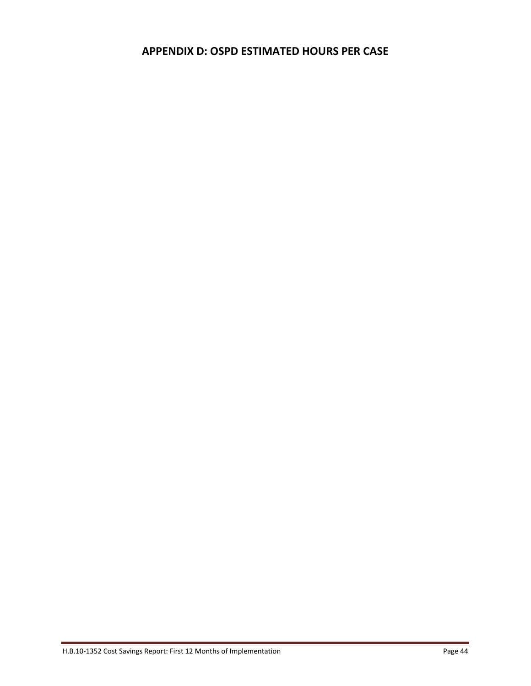## **APPENDIX D: OSPD ESTIMATED HOURS PER CASE**